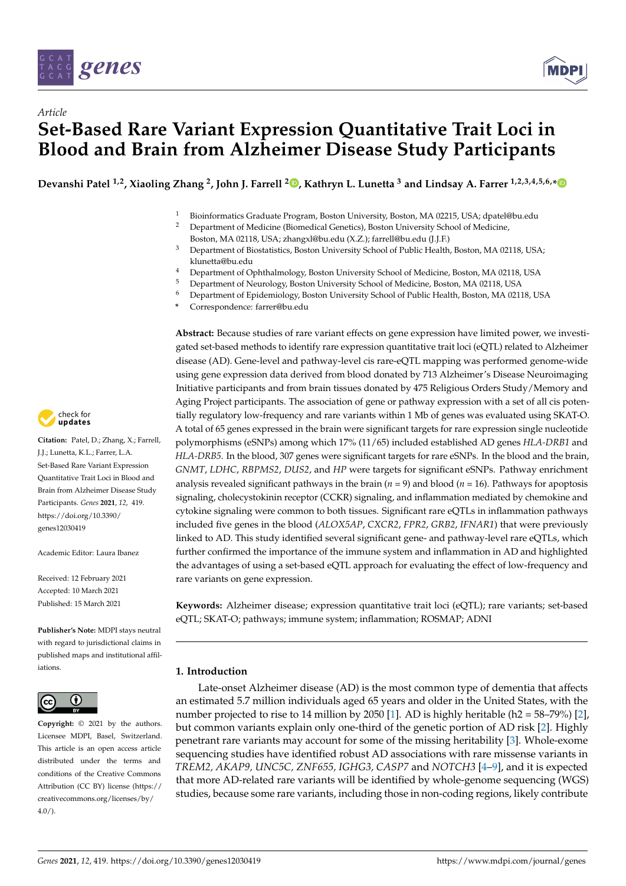

*Article*



# **Set-Based Rare Variant Expression Quantitative Trait Loci in Blood and Brain from Alzheimer Disease Study Participants**

**Devanshi Patel 1,2, Xiaoling Zhang <sup>2</sup> , John J. Farrell <sup>2</sup> [,](https://orcid.org/0000-0001-6502-1572) Kathryn L. Lunetta <sup>3</sup> and Lindsay A. Farrer 1,2,3,4,5,6,[\\*](https://orcid.org/0000-0001-5533-4225)**

<sup>1</sup> Bioinformatics Graduate Program, Boston University, Boston, MA 02215, USA; dpatel@bu.edu<br><sup>2</sup> Department of Medicine (Biomedical Cenetics), Boston University School of Medicine

- <sup>2</sup> Department of Medicine (Biomedical Genetics), Boston University School of Medicine,
	- Boston, MA 02118, USA; zhangxl@bu.edu (X.Z.); farrell@bu.edu (J.J.F.)
- <sup>3</sup> Department of Biostatistics, Boston University School of Public Health, Boston, MA 02118, USA; klunetta@bu.edu
- <sup>4</sup> Department of Ophthalmology, Boston University School of Medicine, Boston, MA 02118, USA<br><sup>5</sup> Department of Nauralaxy, Boston University School of Medicine, Boston, MA 02118, USA
- <sup>5</sup> Department of Neurology, Boston University School of Medicine, Boston, MA 02118, USA
- <sup>6</sup> Department of Epidemiology, Boston University School of Public Health, Boston, MA 02118, USA
- **\*** Correspondence: farrer@bu.edu

**Abstract:** Because studies of rare variant effects on gene expression have limited power, we investigated set-based methods to identify rare expression quantitative trait loci (eQTL) related to Alzheimer disease (AD). Gene-level and pathway-level cis rare-eQTL mapping was performed genome-wide using gene expression data derived from blood donated by 713 Alzheimer's Disease Neuroimaging Initiative participants and from brain tissues donated by 475 Religious Orders Study/Memory and Aging Project participants. The association of gene or pathway expression with a set of all cis potentially regulatory low-frequency and rare variants within 1 Mb of genes was evaluated using SKAT-O. A total of 65 genes expressed in the brain were significant targets for rare expression single nucleotide polymorphisms (eSNPs) among which 17% (11/65) included established AD genes *HLA-DRB1* and *HLA-DRB5*. In the blood, 307 genes were significant targets for rare eSNPs. In the blood and the brain, *GNMT*, *LDHC*, *RBPMS2*, *DUS2*, and *HP* were targets for significant eSNPs. Pathway enrichment analysis revealed significant pathways in the brain (*n* = 9) and blood (*n* = 16). Pathways for apoptosis signaling, cholecystokinin receptor (CCKR) signaling, and inflammation mediated by chemokine and cytokine signaling were common to both tissues. Significant rare eQTLs in inflammation pathways included five genes in the blood (*ALOX5AP*, *CXCR2*, *FPR2*, *GRB2*, *IFNAR1*) that were previously linked to AD. This study identified several significant gene- and pathway-level rare eQTLs, which further confirmed the importance of the immune system and inflammation in AD and highlighted the advantages of using a set-based eQTL approach for evaluating the effect of low-frequency and rare variants on gene expression.

**Keywords:** Alzheimer disease; expression quantitative trait loci (eQTL); rare variants; set-based eQTL; SKAT-O; pathways; immune system; inflammation; ROSMAP; ADNI

## **1. Introduction**

Late-onset Alzheimer disease (AD) is the most common type of dementia that affects an estimated 5.7 million individuals aged 65 years and older in the United States, with the number projected to rise to 14 million by 2050 [\[1\]](#page-12-0). AD is highly heritable (h2 =  $58-79\%$ ) [\[2\]](#page-12-1), but common variants explain only one-third of the genetic portion of AD risk [\[2\]](#page-12-1). Highly penetrant rare variants may account for some of the missing heritability [\[3\]](#page-12-2). Whole-exome sequencing studies have identified robust AD associations with rare missense variants in *TREM2, AKAP9, UNC5C, ZNF655, IGHG3, CASP7* and *NOTCH3* [\[4](#page-12-3)[–9\]](#page-12-4), and it is expected that more AD-related rare variants will be identified by whole-genome sequencing (WGS) studies, because some rare variants, including those in non-coding regions, likely contribute



**Citation:** Patel, D.; Zhang, X.; Farrell, J.J.; Lunetta, K.L.; Farrer, L.A. Set-Based Rare Variant Expression Quantitative Trait Loci in Blood and Brain from Alzheimer Disease Study Participants. *Genes* **2021**, *12*, 419. [https://doi.org/10.3390/](https://doi.org/10.3390/genes12030419) [genes12030419](https://doi.org/10.3390/genes12030419)

Academic Editor: Laura Ibanez

Received: 12 February 2021 Accepted: 10 March 2021 Published: 15 March 2021

**Publisher's Note:** MDPI stays neutral with regard to jurisdictional claims in published maps and institutional affiliations.



**Copyright:** © 2021 by the authors. Licensee MDPI, Basel, Switzerland. This article is an open access article distributed under the terms and conditions of the Creative Commons Attribution (CC BY) license (https:/[/](https://creativecommons.org/licenses/by/4.0/) [creativecommons.org/licenses/by/](https://creativecommons.org/licenses/by/4.0/)  $4.0/$ ).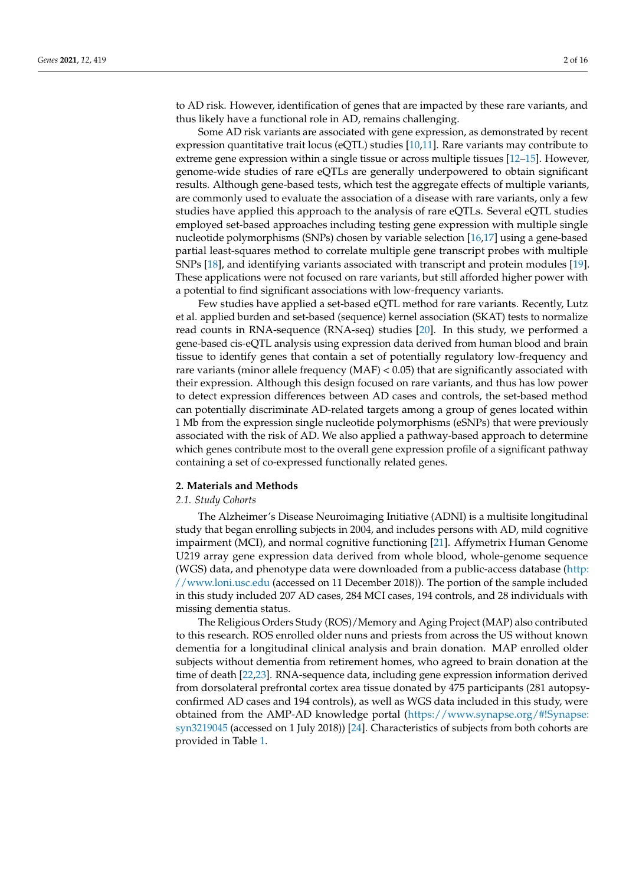to AD risk. However, identification of genes that are impacted by these rare variants, and thus likely have a functional role in AD, remains challenging.

Some AD risk variants are associated with gene expression, as demonstrated by recent expression quantitative trait locus (eQTL) studies [\[10,](#page-12-5)[11\]](#page-12-6). Rare variants may contribute to extreme gene expression within a single tissue or across multiple tissues [\[12–](#page-12-7)[15\]](#page-12-8). However, genome-wide studies of rare eQTLs are generally underpowered to obtain significant results. Although gene-based tests, which test the aggregate effects of multiple variants, are commonly used to evaluate the association of a disease with rare variants, only a few studies have applied this approach to the analysis of rare eQTLs. Several eQTL studies employed set-based approaches including testing gene expression with multiple single nucleotide polymorphisms (SNPs) chosen by variable selection [\[16,](#page-12-9)[17\]](#page-12-10) using a gene-based partial least-squares method to correlate multiple gene transcript probes with multiple SNPs [\[18\]](#page-12-11), and identifying variants associated with transcript and protein modules [\[19\]](#page-12-12). These applications were not focused on rare variants, but still afforded higher power with a potential to find significant associations with low-frequency variants.

Few studies have applied a set-based eQTL method for rare variants. Recently, Lutz et al. applied burden and set-based (sequence) kernel association (SKAT) tests to normalize read counts in RNA-sequence (RNA-seq) studies [\[20\]](#page-12-13). In this study, we performed a gene-based cis-eQTL analysis using expression data derived from human blood and brain tissue to identify genes that contain a set of potentially regulatory low-frequency and rare variants (minor allele frequency  $(MAF) < 0.05$ ) that are significantly associated with their expression. Although this design focused on rare variants, and thus has low power to detect expression differences between AD cases and controls, the set-based method can potentially discriminate AD-related targets among a group of genes located within 1 Mb from the expression single nucleotide polymorphisms (eSNPs) that were previously associated with the risk of AD. We also applied a pathway-based approach to determine which genes contribute most to the overall gene expression profile of a significant pathway containing a set of co-expressed functionally related genes.

#### **2. Materials and Methods**

#### *2.1. Study Cohorts*

The Alzheimer's Disease Neuroimaging Initiative (ADNI) is a multisite longitudinal study that began enrolling subjects in 2004, and includes persons with AD, mild cognitive impairment (MCI), and normal cognitive functioning [\[21\]](#page-13-0). Affymetrix Human Genome U219 array gene expression data derived from whole blood, whole-genome sequence (WGS) data, and phenotype data were downloaded from a public-access database [\(http:](http://www.loni.usc.edu) [//www.loni.usc.edu](http://www.loni.usc.edu) (accessed on 11 December 2018)). The portion of the sample included in this study included 207 AD cases, 284 MCI cases, 194 controls, and 28 individuals with missing dementia status.

The Religious Orders Study (ROS)/Memory and Aging Project (MAP) also contributed to this research. ROS enrolled older nuns and priests from across the US without known dementia for a longitudinal clinical analysis and brain donation. MAP enrolled older subjects without dementia from retirement homes, who agreed to brain donation at the time of death [\[22](#page-13-1)[,23\]](#page-13-2). RNA-sequence data, including gene expression information derived from dorsolateral prefrontal cortex area tissue donated by 475 participants (281 autopsyconfirmed AD cases and 194 controls), as well as WGS data included in this study, were obtained from the AMP-AD knowledge portal [\(https://www.synapse.org/#!Synapse:](https://www.synapse.org/#!Synapse:syn3219045) [syn3219045](https://www.synapse.org/#!Synapse:syn3219045) (accessed on 1 July 2018)) [\[24\]](#page-13-3). Characteristics of subjects from both cohorts are provided in Table [1.](#page-2-0)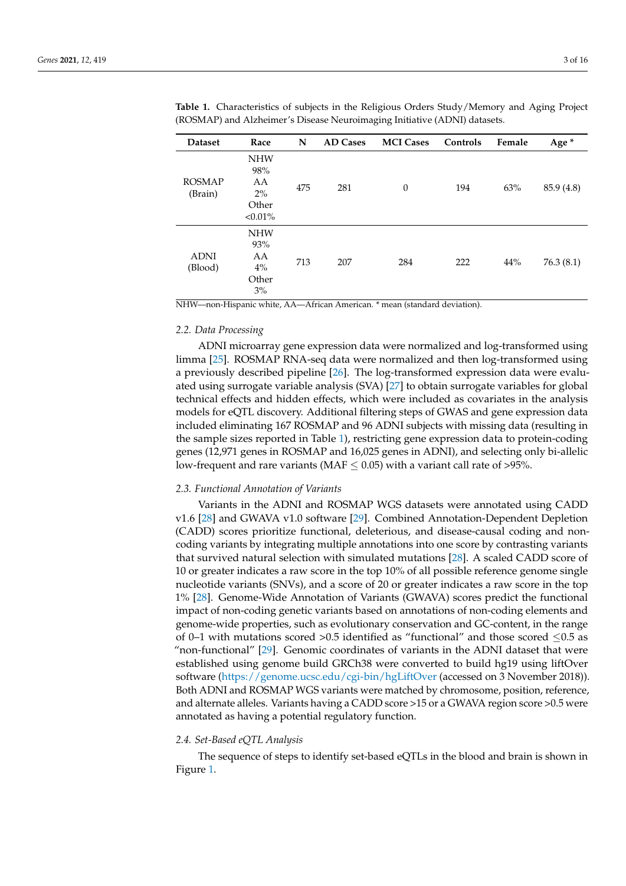| <b>Dataset</b>           | Race                                                    | N   | <b>AD Cases</b> | <b>MCI</b> Cases | Controls | Female | Age*       |
|--------------------------|---------------------------------------------------------|-----|-----------------|------------------|----------|--------|------------|
| <b>ROSMAP</b><br>(Brain) | <b>NHW</b><br>98%<br>AA<br>$2\%$<br>Other<br>$< 0.01\%$ | 475 | 281             | $\mathbf{0}$     | 194      | 63%    | 85.9 (4.8) |
| <b>ADNI</b><br>(Blood)   | <b>NHW</b><br>93%<br>AA<br>$4\%$<br>Other<br>3%         | 713 | 207             | 284              | 222      | 44%    | 76.3(8.1)  |

<span id="page-2-0"></span>**Table 1.** Characteristics of subjects in the Religious Orders Study/Memory and Aging Project (ROSMAP) and Alzheimer's Disease Neuroimaging Initiative (ADNI) datasets.

NHW—non-Hispanic white, AA—African American. \* mean (standard deviation).

#### *2.2. Data Processing*

ADNI microarray gene expression data were normalized and log-transformed using limma [\[25\]](#page-13-4). ROSMAP RNA-seq data were normalized and then log-transformed using a previously described pipeline [\[26\]](#page-13-5). The log-transformed expression data were evaluated using surrogate variable analysis (SVA) [\[27\]](#page-13-6) to obtain surrogate variables for global technical effects and hidden effects, which were included as covariates in the analysis models for eQTL discovery. Additional filtering steps of GWAS and gene expression data included eliminating 167 ROSMAP and 96 ADNI subjects with missing data (resulting in the sample sizes reported in Table [1\)](#page-2-0), restricting gene expression data to protein-coding genes (12,971 genes in ROSMAP and 16,025 genes in ADNI), and selecting only bi-allelic low-frequent and rare variants (MAF  $\leq$  0.05) with a variant call rate of >95%.

#### *2.3. Functional Annotation of Variants*

Variants in the ADNI and ROSMAP WGS datasets were annotated using CADD v1.6 [\[28\]](#page-13-7) and GWAVA v1.0 software [\[29\]](#page-13-8). Combined Annotation-Dependent Depletion (CADD) scores prioritize functional, deleterious, and disease-causal coding and noncoding variants by integrating multiple annotations into one score by contrasting variants that survived natural selection with simulated mutations [\[28\]](#page-13-7). A scaled CADD score of 10 or greater indicates a raw score in the top 10% of all possible reference genome single nucleotide variants (SNVs), and a score of 20 or greater indicates a raw score in the top 1% [\[28\]](#page-13-7). Genome-Wide Annotation of Variants (GWAVA) scores predict the functional impact of non-coding genetic variants based on annotations of non-coding elements and genome-wide properties, such as evolutionary conservation and GC-content, in the range of 0–1 with mutations scored >0.5 identified as "functional" and those scored  $\leq$ 0.5 as "non-functional" [\[29\]](#page-13-8). Genomic coordinates of variants in the ADNI dataset that were established using genome build GRCh38 were converted to build hg19 using liftOver software [\(https://genome.ucsc.edu/cgi-bin/hgLiftOver](https://genome.ucsc.edu/cgi-bin/hgLiftOver) (accessed on 3 November 2018)). Both ADNI and ROSMAP WGS variants were matched by chromosome, position, reference, and alternate alleles. Variants having a CADD score >15 or a GWAVA region score >0.5 were annotated as having a potential regulatory function.

#### *2.4. Set-Based eQTL Analysis*

The sequence of steps to identify set-based eQTLs in the blood and brain is shown in Figure [1.](#page-3-0)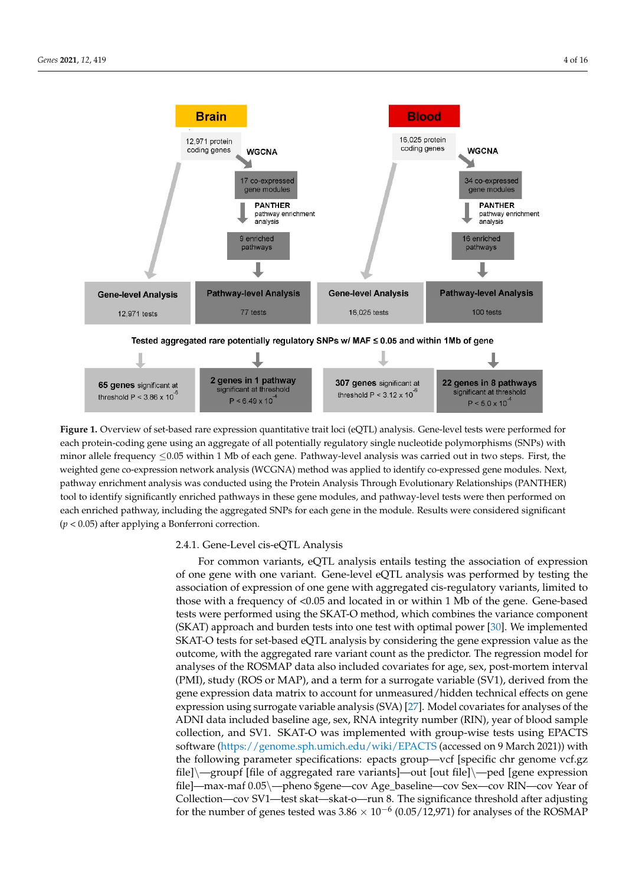<span id="page-3-0"></span>

each protein-coding gene using an aggregate of all potentially regulatory single nucleotide polymorphisms (SNPs) with minor allele frequency  $\leq 0.05$  within 1 Mb of each gene. Pathway-level analysis was carried out in two steps. First, the with minor allele frequency  $\frac{1}{20.05}$  within 1 Mb of each general analysis was carried out in two steps. First, the weighted gene co-expression network analysis (WCGNA) method was applied to identify co-expressed gene modules. weighted gene co-expression network analysis (WCGNA) method was applied to identify co-expressed gene modules. Next, pathway enrichment analysis was conducted using the Protein Analysis Through Evolutionary Relationships (PANTHER) tool to identify significantly enriched pathways in these gene modules, and pathway-level tests were then performed on each enriched pathway, including the aggregated SNPs for each gene in the module. Results were considered significant (*p* < 0.05) after applying a Bonferroni correction. **Figure 1.** Overview of set-based rare expression quantitative trait loci (eQTL) analysis. Gene-level tests were performed for

# 2.4.1. Gene-Level cis-eQTL Analysis 2.4.1. Gene-Level cis-eQTL Analysis

For common variants, eQTL analysis entails testing the association of expression of one gene with one variant. Gene-level eQTL analysis was performed by testing the association of expression of one gene with aggregated cis-regulatory variants, limited to those with a frequency of  $\leq 0.05$  and located in or within 1 Mb of the gene. Gene-based tests were performed using the SKAT-O method, which combines the variance component (SKAT) is a state of the variance component (SKAT) approach and burden tests into one test with optimal power [\[30\]](#page-13-9). We implemented  $SKAT$ O tests for set-based eQTL analysis by considering the gene expression value as the out-outcome, with the aggregated rare variant count as the predictor. The regression model for come, with the aggregated rare variant count as the predictor. The regression model for analyses of the ROSMAP data also included covariates for age, sex, post-mortem interval analyses of the ROSMAP data also included covariates for age, sex, post-mortem interval (PMI), study (ROS or MAP), and a term for a surrogate variable (SV1), derived from the gene expression data matrix to account for unmeasured/hidden technical effects on gene  $\frac{1}{2}$ gene expression data matrix to account for unmeasured/hidden technical effects on gene expression using surrogate variable analysis (SVA) [\[27\]](#page-13-6). Model covariates for analyses of the expression using surrogate variable analysis (SVA) [27]. Model covariates for analyses of ADNI data included baseline age, sex, RNA integrity number (RIN), year of blood sample the ADNI data included baseline age, sex, RNA integrity number (RIN), year of blood collection, and SV1. SKAT-O was implemented with group-wise tests using EPACTS software [\(https://genome.sph.umich.edu/wiki/EPACTS](https://genome.sph.umich.edu/wiki/EPACTS) (accessed on 9 March 2021)) with the following parameter specifications: epacts group—vcf [specific chr genome vcf.gz] file]\—groupf [file of aggregated rare variants]—out [out file]\—ped [gene expression file]—max-maf  $0.05\$ —pheno \$gene—cov Age\_baseline—cov Sex—cov RIN—cov Year of Collection—cov SV1—test skat—skat-o—run 8. The significance threshold after adjusting for the number of genes tested was 3.86  $\times$  10<sup>-6</sup> (0.05/12,971) for analyses of the ROSMAP  $\sigma$  adjusting for  $\sigma$  and  $\sigma$   $\sigma$   $\sigma$   $\sigma$ SKAT-O tests for set-based eQTL analysis by considering the gene expression value as the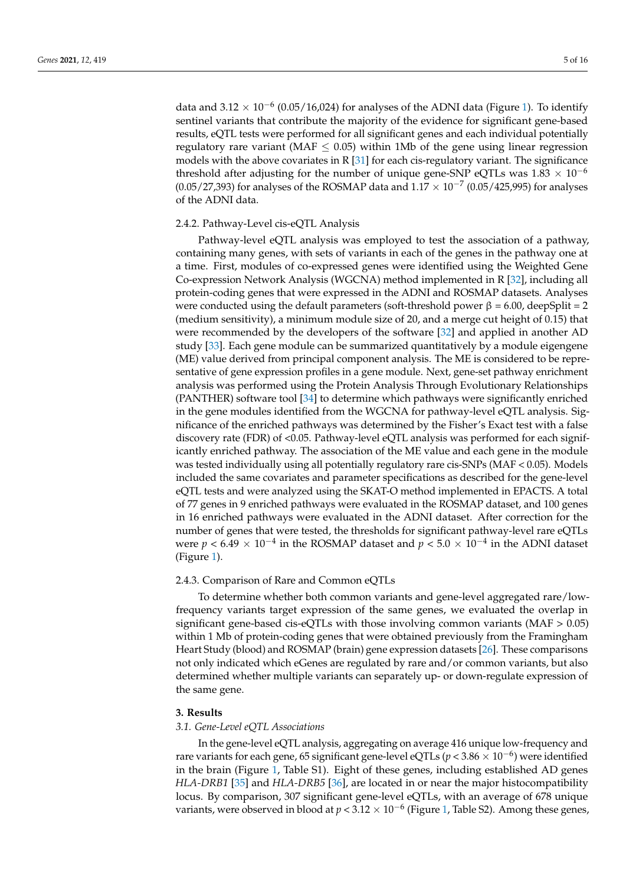data and  $3.12 \times 10^{-6}$  (0.05/16,024) for analyses of the ADNI data (Figure [1\)](#page-3-0). To identify sentinel variants that contribute the majority of the evidence for significant gene-based results, eQTL tests were performed for all significant genes and each individual potentially regulatory rare variant (MAF  $\leq$  0.05) within 1Mb of the gene using linear regression models with the above covariates in R  $[31]$  for each cis-regulatory variant. The significance threshold after adjusting for the number of unique gene-SNP eQTLs was  $1.83 \times 10^{-6}$ (0.05/27,393) for analyses of the ROSMAP data and  $1.17 \times 10^{-7}$  (0.05/425,995) for analyses of the ADNI data.

#### 2.4.2. Pathway-Level cis-eQTL Analysis

Pathway-level eQTL analysis was employed to test the association of a pathway, containing many genes, with sets of variants in each of the genes in the pathway one at a time. First, modules of co-expressed genes were identified using the Weighted Gene Co-expression Network Analysis (WGCNA) method implemented in R [\[32\]](#page-13-11), including all protein-coding genes that were expressed in the ADNI and ROSMAP datasets. Analyses were conducted using the default parameters (soft-threshold power  $β = 6.00$ , deepSplit = 2 (medium sensitivity), a minimum module size of 20, and a merge cut height of 0.15) that were recommended by the developers of the software [\[32\]](#page-13-11) and applied in another AD study [\[33\]](#page-13-12). Each gene module can be summarized quantitatively by a module eigengene (ME) value derived from principal component analysis. The ME is considered to be representative of gene expression profiles in a gene module. Next, gene-set pathway enrichment analysis was performed using the Protein Analysis Through Evolutionary Relationships (PANTHER) software tool [\[34\]](#page-13-13) to determine which pathways were significantly enriched in the gene modules identified from the WGCNA for pathway-level eQTL analysis. Significance of the enriched pathways was determined by the Fisher's Exact test with a false discovery rate (FDR) of <0.05. Pathway-level eQTL analysis was performed for each significantly enriched pathway. The association of the ME value and each gene in the module was tested individually using all potentially regulatory rare cis-SNPs (MAF < 0.05). Models included the same covariates and parameter specifications as described for the gene-level eQTL tests and were analyzed using the SKAT-O method implemented in EPACTS. A total of 77 genes in 9 enriched pathways were evaluated in the ROSMAP dataset, and 100 genes in 16 enriched pathways were evaluated in the ADNI dataset. After correction for the number of genes that were tested, the thresholds for significant pathway-level rare eQTLs were  $p < 6.49 \times 10^{-4}$  in the ROSMAP dataset and  $p < 5.0 \times 10^{-4}$  in the ADNI dataset (Figure [1\)](#page-3-0).

#### 2.4.3. Comparison of Rare and Common eQTLs

To determine whether both common variants and gene-level aggregated rare/lowfrequency variants target expression of the same genes, we evaluated the overlap in significant gene-based cis-eQTLs with those involving common variants (MAF > 0.05) within 1 Mb of protein-coding genes that were obtained previously from the Framingham Heart Study (blood) and ROSMAP (brain) gene expression datasets [\[26\]](#page-13-5). These comparisons not only indicated which eGenes are regulated by rare and/or common variants, but also determined whether multiple variants can separately up- or down-regulate expression of the same gene.

#### **3. Results**

#### *3.1. Gene-Level eQTL Associations*

In the gene-level eQTL analysis, aggregating on average 416 unique low-frequency and rare variants for each gene, 65 significant gene-level eQTLs (*p* < 3.86 × 10−<sup>6</sup> ) were identified in the brain (Figure [1,](#page-3-0) Table S1). Eight of these genes, including established AD genes *HLA-DRB1* [\[35\]](#page-13-14) and *HLA-DRB5* [\[36\]](#page-13-15), are located in or near the major histocompatibility locus. By comparison, 307 significant gene-level eQTLs, with an average of 678 unique variants, were observed in blood at *p* < 3.12 × 10−<sup>6</sup> (Figure [1,](#page-3-0) Table S2). Among these genes,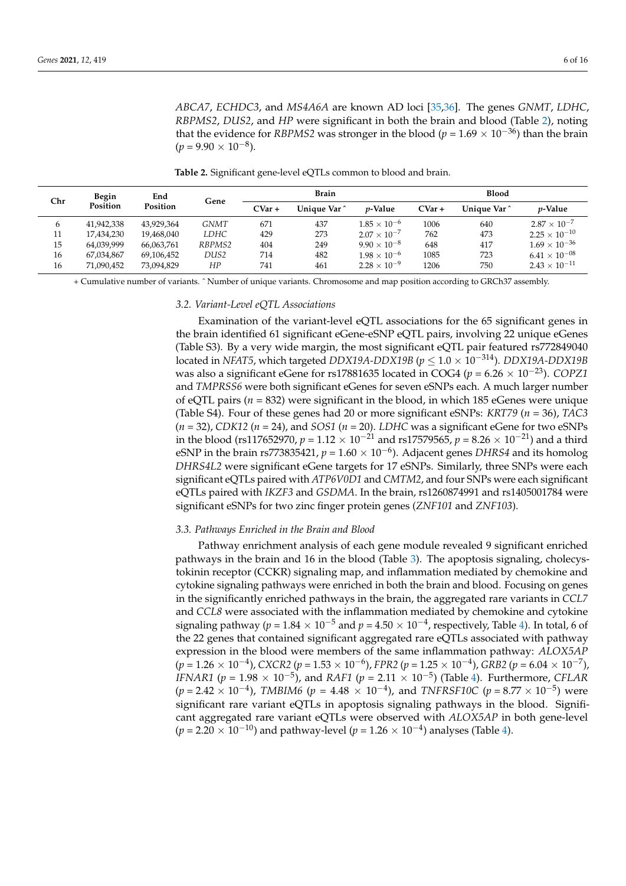*ABCA7*, *ECHDC3*, and *MS4A6A* are known AD loci [\[35](#page-13-14)[,36\]](#page-13-15). The genes *GNMT*, *LDHC*, *RBPMS2*, *DUS2*, and *HP* were significant in both the brain and blood (Table [2\)](#page-5-0), noting that the evidence for *RBPMS2* was stronger in the blood ( $p = 1.69 \times 10^{-36}$ ) than the brain  $(p = 9.90 \times 10^{-8})$ .

**Table 2.** Significant gene-level eQTLs common to blood and brain.

<span id="page-5-0"></span>

| Begin<br>Chr |            | End<br>Position | Gene   |                         | <b>Brain</b>    |                       | <b>Blood</b>            |                 |                        |
|--------------|------------|-----------------|--------|-------------------------|-----------------|-----------------------|-------------------------|-----------------|------------------------|
| Position     | CVar +     |                 |        | Unique Var <sup>^</sup> | <i>v</i> -Value | $CVar +$              | Unique Var <sup>^</sup> | <i>v</i> -Value |                        |
| 6            | 41,942,338 | 43.929.364      | GNMT   | 671                     | 437             | $1.85 \times 10^{-6}$ | 1006                    | 640             | $2.87 \times 10^{-7}$  |
| 11           | 17,434,230 | 19.468.040      | LDHC   | 429                     | 273             | $2.07 \times 10^{-7}$ | 762                     | 473             | $2.25 \times 10^{-10}$ |
| 15           | 64.039.999 | 66.063.761      | RBPMS2 | 404                     | 249             | $9.90 \times 10^{-8}$ | 648                     | 417             | $1.69 \times 10^{-36}$ |
| 16           | 67.034.867 | 69,106,452      | DUS2   | 714                     | 482             | $1.98 \times 10^{-6}$ | 1085                    | 723             | $6.41\times10^{-08}$   |
| 16           | 71,090,452 | 73,094,829      | HP     | 741                     | 461             | $2.28 \times 10^{-9}$ | 1206                    | 750             | $2.43 \times 10^{-11}$ |

+ Cumulative number of variants. ˆ Number of unique variants. Chromosome and map position according to GRCh37 assembly.

## *3.2. Variant-Level eQTL Associations*

Examination of the variant-level eQTL associations for the 65 significant genes in the brain identified 61 significant eGene-eSNP eQTL pairs, involving 22 unique eGenes (Table S3). By a very wide margin, the most significant eQTL pair featured rs772849040 located in *NFAT5*, which targeted *DDX19A-DDX19B* (*p* ≤ 1.0 × 10−314). *DDX19A-DDX19B* was also a significant eGene for rs17881635 located in COG4 (*p* = 6.26 × 10−23). *COPZ1* and *TMPRSS6* were both significant eGenes for seven eSNPs each. A much larger number of eQTL pairs ( $n = 832$ ) were significant in the blood, in which 185 eGenes were unique (Table S4). Four of these genes had 20 or more significant eSNPs: *KRT79* (*n* = 36), *TAC3*  $(n = 32)$ , *CDK12*  $(n = 24)$ , and *SOS1*  $(n = 20)$ . *LDHC* was a significant eGene for two eSNPs in the blood (rs117652970,  $p = 1.12 \times 10^{-21}$  and rs17579565,  $p = 8.26 \times 10^{-21}$ ) and a third eSNP in the brain rs773835421,  $p = 1.60 \times 10^{-6}$ ). Adjacent genes *DHRS4* and its homolog *DHRS4L2* were significant eGene targets for 17 eSNPs. Similarly, three SNPs were each significant eQTLs paired with *ATP6V0D1* and *CMTM2*, and four SNPs were each significant eQTLs paired with *IKZF3* and *GSDMA*. In the brain, rs1260874991 and rs1405001784 were significant eSNPs for two zinc finger protein genes (*ZNF101* and *ZNF103*).

#### *3.3. Pathways Enriched in the Brain and Blood*

Pathway enrichment analysis of each gene module revealed 9 significant enriched pathways in the brain and 16 in the blood (Table [3\)](#page-6-0). The apoptosis signaling, cholecystokinin receptor (CCKR) signaling map, and inflammation mediated by chemokine and cytokine signaling pathways were enriched in both the brain and blood. Focusing on genes in the significantly enriched pathways in the brain, the aggregated rare variants in *CCL7* and *CCL8* were associated with the inflammation mediated by chemokine and cytokine signaling pathway ( $p = 1.84 \times 10^{-5}$  and  $p = 4.50 \times 10^{-4}$ , respectively, Table [4\)](#page-7-0). In total, 6 of the 22 genes that contained significant aggregated rare eQTLs associated with pathway expression in the blood were members of the same inflammation pathway: *ALOX5AP* (*p* = 1.26 × 10−<sup>4</sup> ), *CXCR2* (*p* = 1.53 × 10−<sup>6</sup> ), *FPR2* (*p* = 1.25 × 10−<sup>4</sup> ), *GRB2* (*p* = 6.04 × 10−<sup>7</sup> ), *IFNAR1* (*p* = 1.98  $\times$  10<sup>-5</sup>), and *RAF1* (*p* = 2.11  $\times$  10<sup>-5</sup>) (Table [4\)](#page-7-0). Furthermore, *CFLAR*  $(p = 2.42 \times 10^{-4})$ , *TMBIM6* ( $p = 4.48 \times 10^{-4}$ ), and *TNFRSF10C* ( $p = 8.77 \times 10^{-5}$ ) were significant rare variant eQTLs in apoptosis signaling pathways in the blood. Significant aggregated rare variant eQTLs were observed with *ALOX5AP* in both gene-level  $(p = 2.20 \times 10^{-10})$  and pathway-level  $(p = 1.26 \times 10^{-4})$  analyses (Table [4\)](#page-7-0).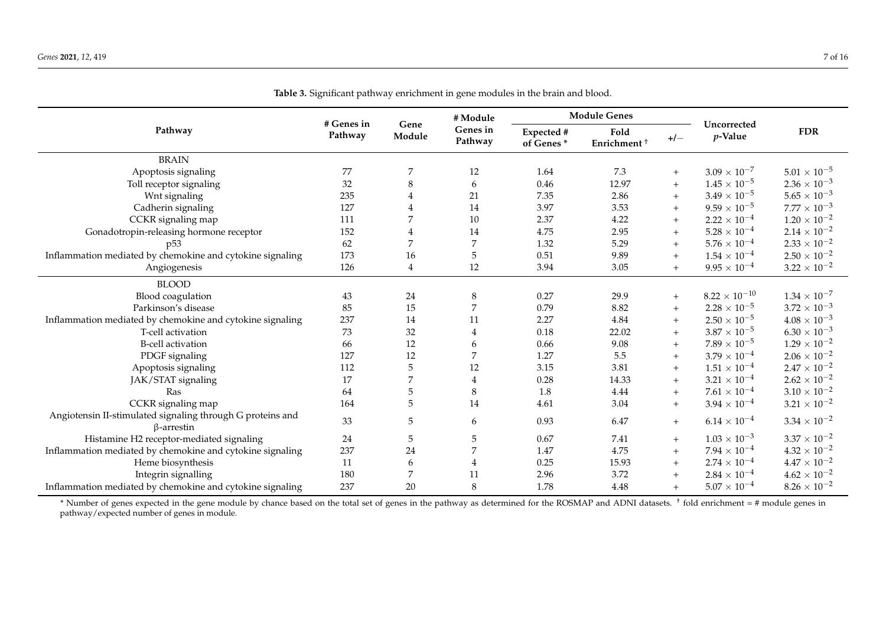|                                                                                 |                       |                | # Module            | <b>Module Genes</b>     |                                 |       |                           |                       |
|---------------------------------------------------------------------------------|-----------------------|----------------|---------------------|-------------------------|---------------------------------|-------|---------------------------|-----------------------|
| Pathway                                                                         | # Genes in<br>Pathway | Gene<br>Module | Genes in<br>Pathway | Expected #<br>of Genes* | Fold<br>Enrichment <sup>+</sup> | $+/-$ | Uncorrected<br>$p$ -Value | <b>FDR</b>            |
| <b>BRAIN</b>                                                                    |                       |                |                     |                         |                                 |       |                           |                       |
| Apoptosis signaling                                                             | 77                    | 7              | $12\,$              | 1.64                    | 7.3                             | $+$   | $3.09 \times 10^{-7}$     | $5.01 \times 10^{-5}$ |
| Toll receptor signaling                                                         | 32                    | 8              | 6                   | 0.46                    | 12.97                           | $+$   | $1.45 \times 10^{-5}$     | $2.36 \times 10^{-3}$ |
| Wnt signaling                                                                   | 235                   | 4              | 21                  | 7.35                    | 2.86                            | $+$   | $3.49 \times 10^{-5}$     | $5.65 \times 10^{-3}$ |
| Cadherin signaling                                                              | 127                   | $\overline{4}$ | 14                  | 3.97                    | 3.53                            | $+$   | $9.59 \times 10^{-5}$     | $7.77 \times 10^{-3}$ |
| CCKR signaling map                                                              | 111                   | 7              | 10                  | 2.37                    | 4.22                            | $+$   | $2.22 \times 10^{-4}$     | $1.20 \times 10^{-2}$ |
| Gonadotropin-releasing hormone receptor                                         | 152                   | $\overline{4}$ | 14                  | 4.75                    | 2.95                            | $+$   | $5.28\times10^{-4}$       | $2.14 \times 10^{-2}$ |
| p <sub>53</sub>                                                                 | 62                    | 7              | $\overline{7}$      | 1.32                    | 5.29                            | $+$   | $5.76 \times 10^{-4}$     | $2.33 \times 10^{-2}$ |
| Inflammation mediated by chemokine and cytokine signaling                       | 173                   | 16             | $\mathbf 5$         | 0.51                    | 9.89                            | $+$   | $1.54 \times 10^{-4}$     | $2.50 \times 10^{-2}$ |
| Angiogenesis                                                                    | 126                   | $\overline{4}$ | 12                  | 3.94                    | 3.05                            | $+$   | $9.95 \times 10^{-4}$     | $3.22 \times 10^{-2}$ |
| <b>BLOOD</b>                                                                    |                       |                |                     |                         |                                 |       |                           |                       |
| Blood coagulation                                                               | 43                    | 24             | $\,8\,$             | 0.27                    | 29.9                            | $+$   | $8.22 \times 10^{-10}$    | $1.34 \times 10^{-7}$ |
| Parkinson's disease                                                             | 85                    | 15             | 7                   | 0.79                    | 8.82                            | $+$   | $2.28 \times 10^{-5}$     | $3.72 \times 10^{-3}$ |
| Inflammation mediated by chemokine and cytokine signaling                       | 237                   | 14             | 11                  | 2.27                    | 4.84                            | $+$   | $2.50 \times 10^{-5}$     | $4.08 \times 10^{-3}$ |
| T-cell activation                                                               | 73                    | 32             | $\overline{4}$      | 0.18                    | 22.02                           | $+$   | $3.87\times10^{-5}$       | $6.30 \times 10^{-3}$ |
| <b>B-cell activation</b>                                                        | 66                    | 12             | 6                   | 0.66                    | 9.08                            | $+$   | $7.89 \times 10^{-5}$     | $1.29 \times 10^{-2}$ |
| PDGF signaling                                                                  | 127                   | 12             | 7                   | 1.27                    | 5.5                             | $+$   | $3.79 \times 10^{-4}$     | $2.06 \times 10^{-2}$ |
| Apoptosis signaling                                                             | 112                   | $\mathbf 5$    | 12                  | 3.15                    | 3.81                            | $+$   | $1.51\times10^{-4}$       | $2.47 \times 10^{-2}$ |
| JAK/STAT signaling                                                              | 17                    | 7              | $\overline{4}$      | 0.28                    | 14.33                           | $+$   | $3.21\times10^{-4}$       | $2.62\times10^{-2}$   |
| Ras                                                                             | 64                    | 5              | 8                   | 1.8                     | 4.44                            | $+$   | $7.61\times10^{-4}$       | $3.10 \times 10^{-2}$ |
| CCKR signaling map                                                              | 164                   | 5              | 14                  | 4.61                    | 3.04                            | $+$   | $3.94 \times 10^{-4}$     | $3.21 \times 10^{-2}$ |
| Angiotensin II-stimulated signaling through G proteins and<br>$\beta$ -arrestin | 33                    | 5              | 6                   | 0.93                    | 6.47                            | $+$   | $6.14 \times 10^{-4}$     | $3.34 \times 10^{-2}$ |
| Histamine H2 receptor-mediated signaling                                        | 24                    | $\mathbf 5$    | $\mathbf 5$         | 0.67                    | 7.41                            | $+$   | $1.03 \times 10^{-3}$     | $3.37 \times 10^{-2}$ |
| Inflammation mediated by chemokine and cytokine signaling                       | 237                   | 24             | 7                   | 1.47                    | 4.75                            | $+$   | $7.94 \times 10^{-4}$     | $4.32\times10^{-2}$   |
| Heme biosynthesis                                                               | 11                    | 6              | $\overline{4}$      | 0.25                    | 15.93                           | $+$   | $2.74 \times 10^{-4}$     | $4.47\times10^{-2}$   |
| Integrin signalling                                                             | 180                   | 7              | 11                  | 2.96                    | 3.72                            | $+$   | $2.84 \times 10^{-4}$     | $4.62 \times 10^{-2}$ |
| Inflammation mediated by chemokine and cytokine signaling                       | 237                   | 20             | 8                   | 1.78                    | 4.48                            | $+$   | $5.07 \times 10^{-4}$     | $8.26 \times 10^{-2}$ |

**Table 3.** Significant pathway enrichment in gene modules in the brain and blood.

<span id="page-6-0"></span>\* Number of genes expected in the gene module by chance based on the total set of genes in the pathway as determined for the ROSMAP and ADNI datasets. † fold enrichment = # module genes in pathway/expected number of genes in module.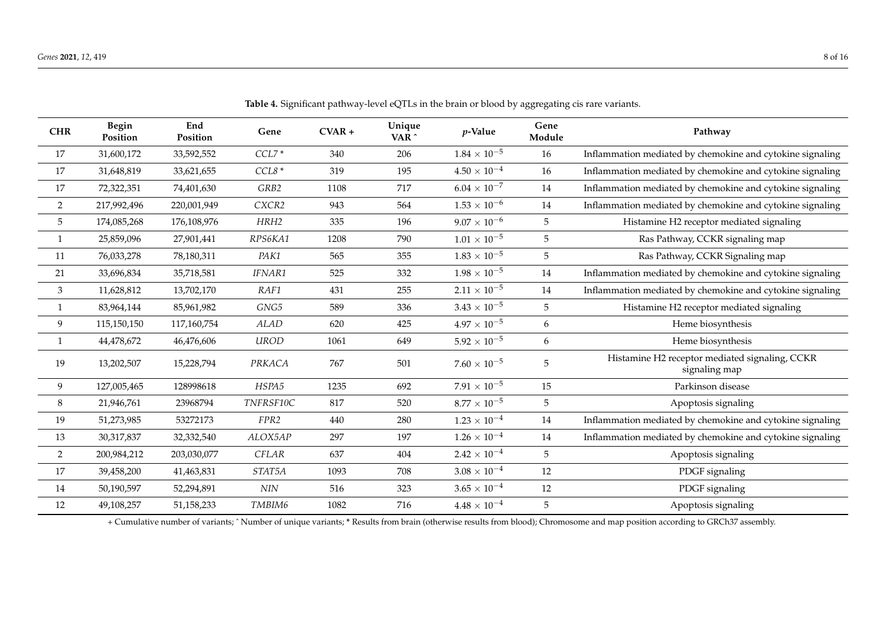| <b>CHR</b>                  | Begin<br>Position | End<br>Position | Gene             | $CVAR +$ | Unique<br>VAR <sup>^</sup> | $p$ -Value            | Gene<br>Module | Pathway                                                         |
|-----------------------------|-------------------|-----------------|------------------|----------|----------------------------|-----------------------|----------------|-----------------------------------------------------------------|
| 17                          | 31,600,172        | 33,592,552      | $CCL7*$          | 340      | 206                        | $1.84 \times 10^{-5}$ | 16             | Inflammation mediated by chemokine and cytokine signaling       |
| 17                          | 31,648,819        | 33,621,655      | $CCL8*$          | 319      | 195                        | $4.50 \times 10^{-4}$ | 16             | Inflammation mediated by chemokine and cytokine signaling       |
| 17                          | 72,322,351        | 74,401,630      | GRB2             | 1108     | 717                        | $6.04\times10^{-7}$   | 14             | Inflammation mediated by chemokine and cytokine signaling       |
| $\overline{2}$              | 217,992,496       | 220,001,949     | CXCR2            | 943      | 564                        | $1.53 \times 10^{-6}$ | 14             | Inflammation mediated by chemokine and cytokine signaling       |
| 5                           | 174,085,268       | 176,108,976     | HRH <sub>2</sub> | 335      | 196                        | $9.07 \times 10^{-6}$ | 5              | Histamine H2 receptor mediated signaling                        |
| $\mathbf{1}$                | 25,859,096        | 27,901,441      | RPS6KA1          | 1208     | 790                        | $1.01\times10^{-5}$   | 5              | Ras Pathway, CCKR signaling map                                 |
| 11                          | 76,033,278        | 78,180,311      | PAK1             | 565      | 355                        | $1.83 \times 10^{-5}$ | $\sqrt{5}$     | Ras Pathway, CCKR Signaling map                                 |
| 21                          | 33,696,834        | 35,718,581      | IFNAR1           | 525      | 332                        | $1.98\times10^{-5}$   | 14             | Inflammation mediated by chemokine and cytokine signaling       |
| $\ensuremath{\mathfrak{Z}}$ | 11,628,812        | 13,702,170      | RAF1             | 431      | 255                        | $2.11 \times 10^{-5}$ | 14             | Inflammation mediated by chemokine and cytokine signaling       |
| 1                           | 83,964,144        | 85,961,982      | GNG5             | 589      | 336                        | $3.43 \times 10^{-5}$ | 5              | Histamine H2 receptor mediated signaling                        |
| 9                           | 115,150,150       | 117,160,754     | <b>ALAD</b>      | 620      | 425                        | $4.97 \times 10^{-5}$ | 6              | Heme biosynthesis                                               |
| 1                           | 44,478,672        | 46,476,606      | <b>UROD</b>      | 1061     | 649                        | $5.92 \times 10^{-5}$ | 6              | Heme biosynthesis                                               |
| 19                          | 13,202,507        | 15,228,794      | PRKACA           | 767      | 501                        | $7.60 \times 10^{-5}$ | 5              | Histamine H2 receptor mediated signaling, CCKR<br>signaling map |
| $\boldsymbol{9}$            | 127,005,465       | 128998618       | HSPA5            | 1235     | 692                        | $7.91\times10^{-5}$   | 15             | Parkinson disease                                               |
| $\,8\,$                     | 21,946,761        | 23968794        | TNFRSF10C        | 817      | 520                        | $8.77\times10^{-5}$   | $\sqrt{5}$     | Apoptosis signaling                                             |
| 19                          | 51,273,985        | 53272173        | FPR <sub>2</sub> | 440      | 280                        | $1.23 \times 10^{-4}$ | 14             | Inflammation mediated by chemokine and cytokine signaling       |
| 13                          | 30,317,837        | 32,332,540      | ALOX5AP          | 297      | 197                        | $1.26 \times 10^{-4}$ | 14             | Inflammation mediated by chemokine and cytokine signaling       |
| $\overline{2}$              | 200,984,212       | 203,030,077     | <b>CFLAR</b>     | 637      | 404                        | $2.42 \times 10^{-4}$ | 5              | Apoptosis signaling                                             |
| 17                          | 39,458,200        | 41,463,831      | STAT5A           | 1093     | 708                        | $3.08 \times 10^{-4}$ | 12             | PDGF signaling                                                  |
| 14                          | 50,190,597        | 52,294,891      | $N\!I\!N$        | 516      | 323                        | $3.65 \times 10^{-4}$ | 12             | PDGF signaling                                                  |
| 12                          | 49,108,257        | 51,158,233      | TMBIM6           | 1082     | 716                        | $4.48 \times 10^{-4}$ | 5              | Apoptosis signaling                                             |
|                             |                   |                 |                  |          |                            |                       |                |                                                                 |

**Table 4.** Significant pathway-level eQTLs in the brain or blood by aggregating cis rare variants.

<span id="page-7-0"></span>+ Cumulative number of variants; ˆ Number of unique variants; **\*** Results from brain (otherwise results from blood); Chromosome and map position according to GRCh37 assembly.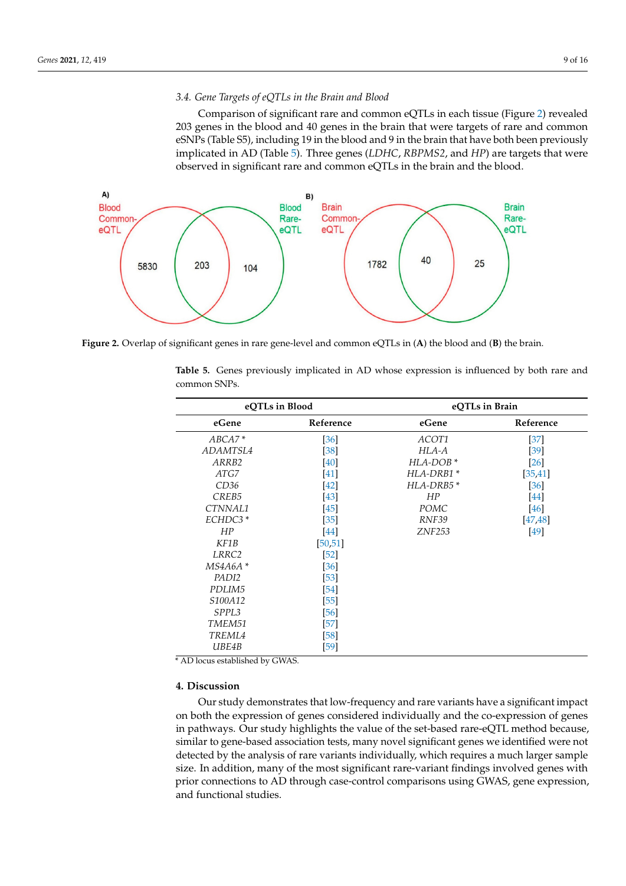# 3.4. Gene Targets of eQTLs in the Brain and Blood

*PADI2* [53]

Comparison of significant rare and common eQTLs in each tissue (Figure [2\)](#page-8-0) revealed 203 genes in the blood and 40 genes in the brain that were targets of rare and common eSNPs (Table S5), including 19 in the blood and 9 in the brain that have both been previously implicated in AD (Table [5\)](#page-8-1). Three genes (LDHC, RBPMS2, and HP) are targets that were observed in significant rare and common eQTLs in the brain and the blood.

<span id="page-8-0"></span>

Figure 2. Overlap of significant genes in rare gene-level and common eQTLs in (A) the blood and (B) the brain.

<span id="page-8-1"></span>

| eQTLs in Blood    |           | eQTLs in Brain |           |  |  |  |
|-------------------|-----------|----------------|-----------|--|--|--|
| eGene             | Reference | eGene          | Reference |  |  |  |
| $ABCA7*$          | $[36]$    | ACOT1          | $[37]$    |  |  |  |
| ADAMTSL4          | [38]      | $HLA-A$        | $[39]$    |  |  |  |
| ARRB2             | [40]      | HLA-DOB*       | $[26]$    |  |  |  |
| ATGZ              | $[41]$    | HLA-DRB1*      | [35, 41]  |  |  |  |
| CD36              | $[42]$    | HLA-DRB5*      | [36]      |  |  |  |
| CREB5             | $[43]$    | HP             | $[44]$    |  |  |  |
| CTNNAL1           | $[45]$    | <b>POMC</b>    | [46]      |  |  |  |
| ECHDC3*           | $[35]$    | RNF39          | [47, 48]  |  |  |  |
| HP                | [44]      | <b>ZNF253</b>  | [49]      |  |  |  |
| KF1B              | [50, 51]  |                |           |  |  |  |
| LRRC2             | [52]      |                |           |  |  |  |
| $MS4A6A*$         | [36]      |                |           |  |  |  |
| PADI2             | $[53]$    |                |           |  |  |  |
| PDLIM5            | $[54]$    |                |           |  |  |  |
| S100A12           | $[55]$    |                |           |  |  |  |
| SPPL <sub>3</sub> | [56]      |                |           |  |  |  |
| TMEM51            | $[57]$    |                |           |  |  |  |
| TREML4            | $[58]$    |                |           |  |  |  |
| UBE4B             | $[59]$    |                |           |  |  |  |

Table 5. Genes previously implicated in AD whose expression is influenced by both rare and common SNPs.

\* AD locus established by GWAS.

## **4. Discussion**

Our study demonstrates that low-frequency and rare variants have a significant impact on both the expression of genes considered individually and the co-expression of genes in pathways. Our study highlights the value of the set-based rare-eQTL method because, similar to gene-based association tests, many novel significant genes we identified were not detected by the analysis of rare variants individually, which requires a much larger sample size. In addition, many of the most significant rare-variant findings involved genes with prior connections to AD through case-control comparisons using GWAS, gene expression, and functional studies.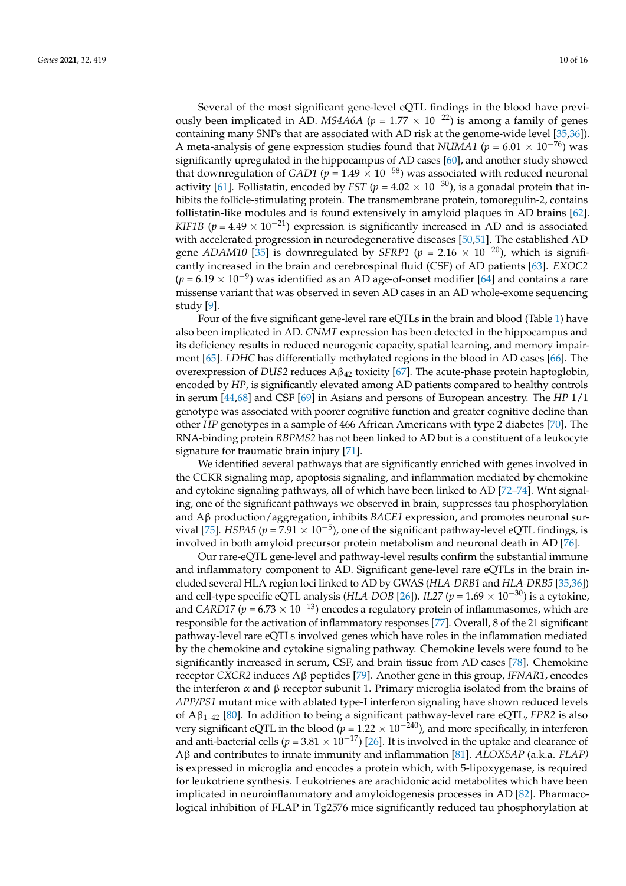Several of the most significant gene-level eQTL findings in the blood have previously been implicated in AD. *MS4A6A* ( $p = 1.77 \times 10^{-22}$ ) is among a family of genes containing many SNPs that are associated with AD risk at the genome-wide level [\[35](#page-13-14)[,36\]](#page-13-15)). A meta-analysis of gene expression studies found that *NUMA1* ( $p = 6.01 \times 10^{-76}$ ) was significantly upregulated in the hippocampus of AD cases [\[60\]](#page-14-13), and another study showed that downregulation of *GAD1* ( $p = 1.49 \times 10^{-58}$ ) was associated with reduced neuronal activity [\[61\]](#page-14-14). Follistatin, encoded by *FST* ( $p = 4.02 \times 10^{-30}$ ), is a gonadal protein that inhibits the follicle-stimulating protein. The transmembrane protein, tomoregulin-2, contains follistatin-like modules and is found extensively in amyloid plaques in AD brains [\[62\]](#page-14-15). *KIF1B* ( $p = 4.49 \times 10^{-21}$ ) expression is significantly increased in AD and is associated with accelerated progression in neurodegenerative diseases [\[50](#page-14-3)[,51\]](#page-14-4). The established AD gene *ADAM10* [\[35\]](#page-13-14) is downregulated by *SFRP1* ( $p = 2.16 \times 10^{-20}$ ), which is significantly increased in the brain and cerebrospinal fluid (CSF) of AD patients [\[63\]](#page-14-16). *EXOC2* (*p* = 6.19 × 10<sup>-9</sup>) was identified as an AD age-of-onset modifier [\[64\]](#page-14-17) and contains a rare missense variant that was observed in seven AD cases in an AD whole-exome sequencing study [\[9\]](#page-12-4).

Four of the five significant gene-level rare eQTLs in the brain and blood (Table [1\)](#page-2-0) have also been implicated in AD. *GNMT* expression has been detected in the hippocampus and its deficiency results in reduced neurogenic capacity, spatial learning, and memory impairment [\[65\]](#page-14-18). *LDHC* has differentially methylated regions in the blood in AD cases [\[66\]](#page-14-19). The overexpression of *DUS2* reduces Aβ<sup>42</sup> toxicity [\[67\]](#page-14-20). The acute-phase protein haptoglobin, encoded by *HP*, is significantly elevated among AD patients compared to healthy controls in serum [\[44](#page-13-23)[,68\]](#page-14-21) and CSF [\[69\]](#page-14-22) in Asians and persons of European ancestry. The *HP* 1/1 genotype was associated with poorer cognitive function and greater cognitive decline than other *HP* genotypes in a sample of 466 African Americans with type 2 diabetes [\[70\]](#page-15-0). The RNA-binding protein *RBPMS2* has not been linked to AD but is a constituent of a leukocyte signature for traumatic brain injury [\[71\]](#page-15-1).

We identified several pathways that are significantly enriched with genes involved in the CCKR signaling map, apoptosis signaling, and inflammation mediated by chemokine and cytokine signaling pathways, all of which have been linked to AD [\[72–](#page-15-2)[74\]](#page-15-3). Wnt signaling, one of the significant pathways we observed in brain, suppresses tau phosphorylation and Aβ production/aggregation, inhibits *BACE1* expression, and promotes neuronal sur-vival [\[75\]](#page-15-4). *HSPA5* ( $p = 7.91 \times 10^{-5}$ ), one of the significant pathway-level eQTL findings, is involved in both amyloid precursor protein metabolism and neuronal death in AD [\[76\]](#page-15-5).

Our rare-eQTL gene-level and pathway-level results confirm the substantial immune and inflammatory component to AD. Significant gene-level rare eQTLs in the brain included several HLA region loci linked to AD by GWAS (*HLA-DRB1* and *HLA-DRB5* [\[35](#page-13-14)[,36\]](#page-13-15)) and cell-type specific eQTL analysis (*HLA-DOB* [\[26\]](#page-13-5)). *IL27* ( $p = 1.69 \times 10^{-30}$ ) is a cytokine, and *CARD17* ( $p = 6.73 \times 10^{-13}$ ) encodes a regulatory protein of inflammasomes, which are responsible for the activation of inflammatory responses [\[77\]](#page-15-6). Overall, 8 of the 21 significant pathway-level rare eQTLs involved genes which have roles in the inflammation mediated by the chemokine and cytokine signaling pathway. Chemokine levels were found to be significantly increased in serum, CSF, and brain tissue from AD cases [\[78\]](#page-15-7). Chemokine receptor *CXCR2* induces Aβ peptides [\[79\]](#page-15-8). Another gene in this group, *IFNAR1*, encodes the interferon  $\alpha$  and  $\beta$  receptor subunit 1. Primary microglia isolated from the brains of *APP/PS1* mutant mice with ablated type-I interferon signaling have shown reduced levels of Aβ1–42 [\[80\]](#page-15-9). In addition to being a significant pathway-level rare eQTL, *FPR2* is also very significant eQTL in the blood (*p =* 1.22 × 10−240), and more specifically, in interferon and anti-bacterial cells ( $p = 3.81 \times 10^{-17}$ ) [\[26\]](#page-13-5). It is involved in the uptake and clearance of Aβ and contributes to innate immunity and inflammation [\[81\]](#page-15-10). *ALOX5AP* (a.k.a. *FLAP)* is expressed in microglia and encodes a protein which, with 5-lipoxygenase, is required for leukotriene synthesis. Leukotrienes are arachidonic acid metabolites which have been implicated in neuroinflammatory and amyloidogenesis processes in AD [\[82\]](#page-15-11). Pharmacological inhibition of FLAP in Tg2576 mice significantly reduced tau phosphorylation at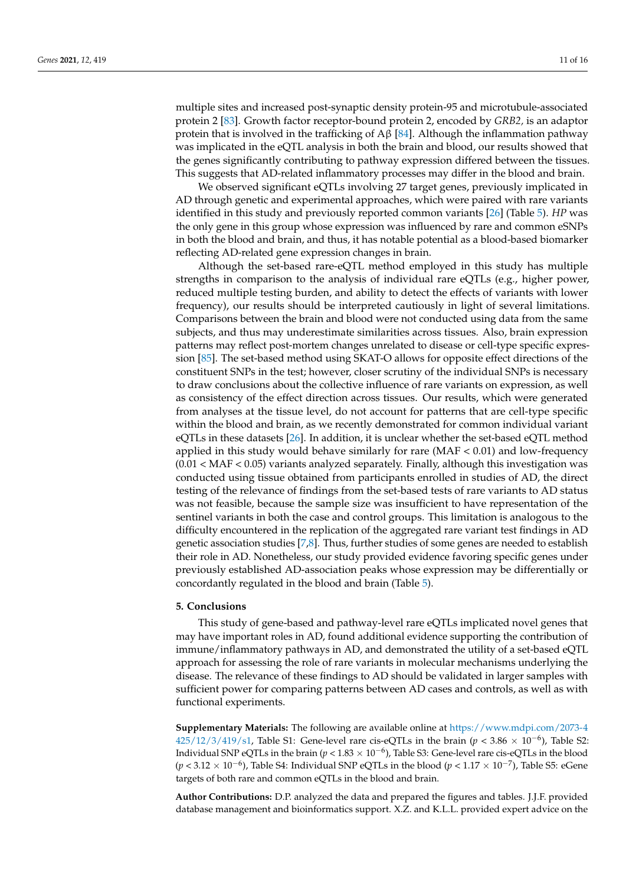multiple sites and increased post-synaptic density protein-95 and microtubule-associated protein 2 [\[83\]](#page-15-12). Growth factor receptor-bound protein 2, encoded by *GRB2,* is an adaptor protein that is involved in the trafficking of A $\beta$  [\[84\]](#page-15-13). Although the inflammation pathway was implicated in the eQTL analysis in both the brain and blood, our results showed that the genes significantly contributing to pathway expression differed between the tissues. This suggests that AD-related inflammatory processes may differ in the blood and brain.

We observed significant eQTLs involving 27 target genes, previously implicated in AD through genetic and experimental approaches, which were paired with rare variants identified in this study and previously reported common variants [\[26\]](#page-13-5) (Table [5\)](#page-8-1). *HP* was the only gene in this group whose expression was influenced by rare and common eSNPs in both the blood and brain, and thus, it has notable potential as a blood-based biomarker reflecting AD-related gene expression changes in brain.

Although the set-based rare-eQTL method employed in this study has multiple strengths in comparison to the analysis of individual rare eQTLs (e.g., higher power, reduced multiple testing burden, and ability to detect the effects of variants with lower frequency), our results should be interpreted cautiously in light of several limitations. Comparisons between the brain and blood were not conducted using data from the same subjects, and thus may underestimate similarities across tissues. Also, brain expression patterns may reflect post-mortem changes unrelated to disease or cell-type specific expression [\[85\]](#page-15-14). The set-based method using SKAT-O allows for opposite effect directions of the constituent SNPs in the test; however, closer scrutiny of the individual SNPs is necessary to draw conclusions about the collective influence of rare variants on expression, as well as consistency of the effect direction across tissues. Our results, which were generated from analyses at the tissue level, do not account for patterns that are cell-type specific within the blood and brain, as we recently demonstrated for common individual variant eQTLs in these datasets [\[26\]](#page-13-5). In addition, it is unclear whether the set-based eQTL method applied in this study would behave similarly for rare  $(MAF < 0.01)$  and low-frequency  $(0.01 < \text{MAF} < 0.05)$  variants analyzed separately. Finally, although this investigation was conducted using tissue obtained from participants enrolled in studies of AD, the direct testing of the relevance of findings from the set-based tests of rare variants to AD status was not feasible, because the sample size was insufficient to have representation of the sentinel variants in both the case and control groups. This limitation is analogous to the difficulty encountered in the replication of the aggregated rare variant test findings in AD genetic association studies [\[7,](#page-12-14)[8\]](#page-12-15). Thus, further studies of some genes are needed to establish their role in AD. Nonetheless, our study provided evidence favoring specific genes under previously established AD-association peaks whose expression may be differentially or concordantly regulated in the blood and brain (Table [5\)](#page-8-1).

#### **5. Conclusions**

This study of gene-based and pathway-level rare eQTLs implicated novel genes that may have important roles in AD, found additional evidence supporting the contribution of immune/inflammatory pathways in AD, and demonstrated the utility of a set-based eQTL approach for assessing the role of rare variants in molecular mechanisms underlying the disease. The relevance of these findings to AD should be validated in larger samples with sufficient power for comparing patterns between AD cases and controls, as well as with functional experiments.

**Supplementary Materials:** The following are available online at [https://www.mdpi.com/2073-4](https://www.mdpi.com/2073-4425/12/3/419/s1)  $425/12/3/419/s1$ , Table S1: Gene-level rare cis-eQTLs in the brain ( $p < 3.86 \times 10^{-6}$ ), Table S2: Individual SNP eQTLs in the brain (*p* < 1.83 × 10−<sup>6</sup> ), Table S3: Gene-level rare cis-eQTLs in the blood (*p* < 3.12 × 10<sup>-6</sup>), Table S4: Individual SNP eQTLs in the blood (*p* < 1.17 × 10<sup>-7</sup>), Table S5: eGene targets of both rare and common eQTLs in the blood and brain.

**Author Contributions:** D.P. analyzed the data and prepared the figures and tables. J.J.F. provided database management and bioinformatics support. X.Z. and K.L.L. provided expert advice on the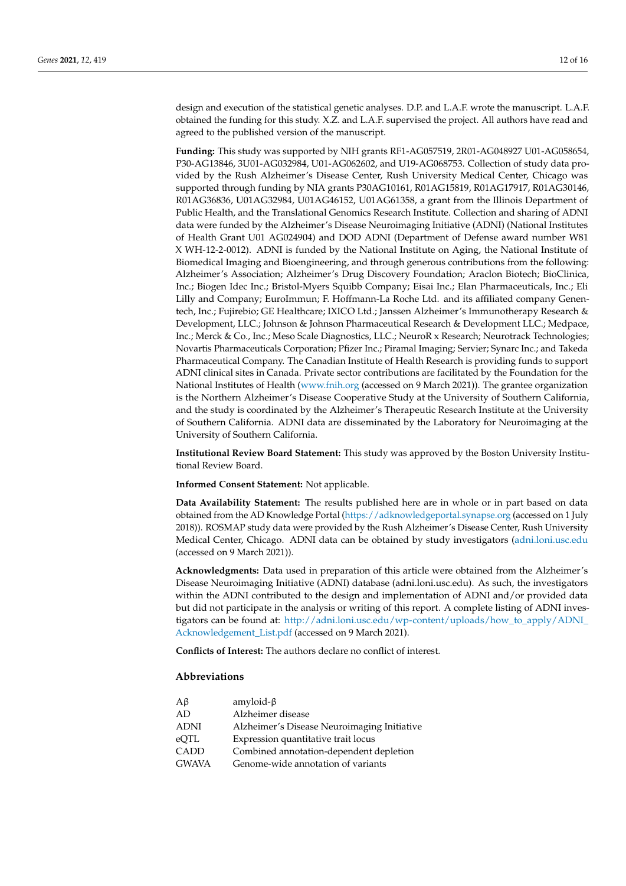design and execution of the statistical genetic analyses. D.P. and L.A.F. wrote the manuscript. L.A.F. obtained the funding for this study. X.Z. and L.A.F. supervised the project. All authors have read and agreed to the published version of the manuscript.

**Funding:** This study was supported by NIH grants RF1-AG057519, 2R01-AG048927 U01-AG058654, P30-AG13846, 3U01-AG032984, U01-AG062602, and U19-AG068753. Collection of study data provided by the Rush Alzheimer's Disease Center, Rush University Medical Center, Chicago was supported through funding by NIA grants P30AG10161, R01AG15819, R01AG17917, R01AG30146, R01AG36836, U01AG32984, U01AG46152, U01AG61358, a grant from the Illinois Department of Public Health, and the Translational Genomics Research Institute. Collection and sharing of ADNI data were funded by the Alzheimer's Disease Neuroimaging Initiative (ADNI) (National Institutes of Health Grant U01 AG024904) and DOD ADNI (Department of Defense award number W81 X WH-12-2-0012). ADNI is funded by the National Institute on Aging, the National Institute of Biomedical Imaging and Bioengineering, and through generous contributions from the following: Alzheimer's Association; Alzheimer's Drug Discovery Foundation; Araclon Biotech; BioClinica, Inc.; Biogen Idec Inc.; Bristol-Myers Squibb Company; Eisai Inc.; Elan Pharmaceuticals, Inc.; Eli Lilly and Company; EuroImmun; F. Hoffmann-La Roche Ltd. and its affiliated company Genentech, Inc.; Fujirebio; GE Healthcare; IXICO Ltd.; Janssen Alzheimer's Immunotherapy Research & Development, LLC.; Johnson & Johnson Pharmaceutical Research & Development LLC.; Medpace, Inc.; Merck & Co., Inc.; Meso Scale Diagnostics, LLC.; NeuroR x Research; Neurotrack Technologies; Novartis Pharmaceuticals Corporation; Pfizer Inc.; Piramal Imaging; Servier; Synarc Inc.; and Takeda Pharmaceutical Company. The Canadian Institute of Health Research is providing funds to support ADNI clinical sites in Canada. Private sector contributions are facilitated by the Foundation for the National Institutes of Health [\(www.fnih.org](www.fnih.org) (accessed on 9 March 2021)). The grantee organization is the Northern Alzheimer's Disease Cooperative Study at the University of Southern California, and the study is coordinated by the Alzheimer's Therapeutic Research Institute at the University of Southern California. ADNI data are disseminated by the Laboratory for Neuroimaging at the University of Southern California.

**Institutional Review Board Statement:** This study was approved by the Boston University Institutional Review Board.

#### **Informed Consent Statement:** Not applicable.

**Data Availability Statement:** The results published here are in whole or in part based on data obtained from the AD Knowledge Portal [\(https://adknowledgeportal.synapse.org](https://adknowledgeportal.synapse.org) (accessed on 1 July 2018)). ROSMAP study data were provided by the Rush Alzheimer's Disease Center, Rush University Medical Center, Chicago. ADNI data can be obtained by study investigators [\(adni.loni.usc.edu](adni.loni.usc.edu) (accessed on 9 March 2021)).

**Acknowledgments:** Data used in preparation of this article were obtained from the Alzheimer's Disease Neuroimaging Initiative (ADNI) database (adni.loni.usc.edu). As such, the investigators within the ADNI contributed to the design and implementation of ADNI and/or provided data but did not participate in the analysis or writing of this report. A complete listing of ADNI investigators can be found at: [http://adni.loni.usc.edu/wp-content/uploads/how\\_to\\_apply/ADNI\\_](http://adni.loni.usc.edu/wp-content/uploads/how_to_apply/ADNI_Acknowledgement_List.pdf) [Acknowledgement\\_List.pdf](http://adni.loni.usc.edu/wp-content/uploads/how_to_apply/ADNI_Acknowledgement_List.pdf) (accessed on 9 March 2021).

**Conflicts of Interest:** The authors declare no conflict of interest.

#### **Abbreviations**

| $A\beta$     | amyloid- $\beta$                            |
|--------------|---------------------------------------------|
| AD           | Alzheimer disease                           |
| <b>ADNI</b>  | Alzheimer's Disease Neuroimaging Initiative |
| eOTL         | Expression quantitative trait locus         |
| CADD         | Combined annotation-dependent depletion     |
| <b>GWAVA</b> | Genome-wide annotation of variants          |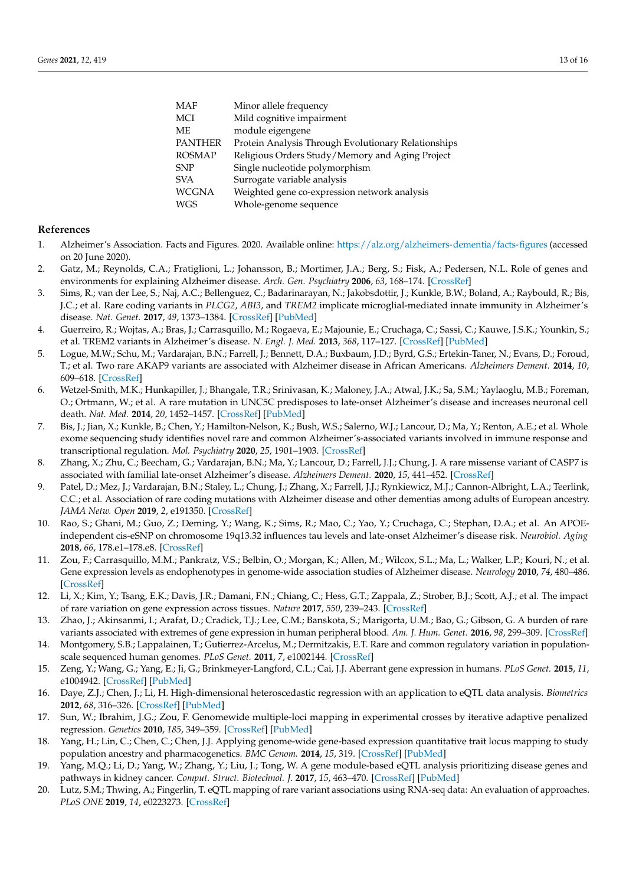| <b>MAF</b>     | Minor allele frequency                              |
|----------------|-----------------------------------------------------|
| MCI            | Mild cognitive impairment                           |
| <b>ME</b>      | module eigengene                                    |
| <b>PANTHER</b> | Protein Analysis Through Evolutionary Relationships |
| <b>ROSMAP</b>  | Religious Orders Study/Memory and Aging Project     |
| <b>SNP</b>     | Single nucleotide polymorphism                      |
| <b>SVA</b>     | Surrogate variable analysis                         |
| <b>WCGNA</b>   | Weighted gene co-expression network analysis        |
| <b>WGS</b>     | Whole-genome sequence                               |
|                |                                                     |

#### **References**

- <span id="page-12-0"></span>1. Alzheimer's Association. Facts and Figures. 2020. Available online: <https://alz.org/alzheimers-dementia/facts-figures> (accessed on 20 June 2020).
- <span id="page-12-1"></span>2. Gatz, M.; Reynolds, C.A.; Fratiglioni, L.; Johansson, B.; Mortimer, J.A.; Berg, S.; Fisk, A.; Pedersen, N.L. Role of genes and environments for explaining Alzheimer disease. *Arch. Gen. Psychiatry* **2006**, *63*, 168–174. [\[CrossRef\]](http://doi.org/10.1001/archpsyc.63.2.168)
- <span id="page-12-2"></span>3. Sims, R.; van der Lee, S.; Naj, A.C.; Bellenguez, C.; Badarinarayan, N.; Jakobsdottir, J.; Kunkle, B.W.; Boland, A.; Raybould, R.; Bis, J.C.; et al. Rare coding variants in *PLCG2*, *ABI3*, and *TREM2* implicate microglial-mediated innate immunity in Alzheimer's disease. *Nat. Genet.* **2017**, *49*, 1373–1384. [\[CrossRef\]](http://doi.org/10.1038/ng.3916) [\[PubMed\]](http://www.ncbi.nlm.nih.gov/pubmed/28714976)
- <span id="page-12-3"></span>4. Guerreiro, R.; Wojtas, A.; Bras, J.; Carrasquillo, M.; Rogaeva, E.; Majounie, E.; Cruchaga, C.; Sassi, C.; Kauwe, J.S.K.; Younkin, S.; et al. TREM2 variants in Alzheimer's disease. *N. Engl. J. Med.* **2013**, *368*, 117–127. [\[CrossRef\]](http://doi.org/10.1056/NEJMoa1211851) [\[PubMed\]](http://www.ncbi.nlm.nih.gov/pubmed/23150934)
- 5. Logue, M.W.; Schu, M.; Vardarajan, B.N.; Farrell, J.; Bennett, D.A.; Buxbaum, J.D.; Byrd, G.S.; Ertekin-Taner, N.; Evans, D.; Foroud, T.; et al. Two rare AKAP9 variants are associated with Alzheimer disease in African Americans. *Alzheimers Dement.* **2014**, *10*, 609–618. [\[CrossRef\]](http://doi.org/10.1016/j.jalz.2014.06.010)
- 6. Wetzel-Smith, M.K.; Hunkapiller, J.; Bhangale, T.R.; Srinivasan, K.; Maloney, J.A.; Atwal, J.K.; Sa, S.M.; Yaylaoglu, M.B.; Foreman, O.; Ortmann, W.; et al. A rare mutation in UNC5C predisposes to late-onset Alzheimer's disease and increases neuronal cell death. *Nat. Med.* **2014**, *20*, 1452–1457. [\[CrossRef\]](http://doi.org/10.1038/nm.3736) [\[PubMed\]](http://www.ncbi.nlm.nih.gov/pubmed/25419706)
- <span id="page-12-14"></span>7. Bis, J.; Jian, X.; Kunkle, B.; Chen, Y.; Hamilton-Nelson, K.; Bush, W.S.; Salerno, W.J.; Lancour, D.; Ma, Y.; Renton, A.E.; et al. Whole exome sequencing study identifies novel rare and common Alzheimer's-associated variants involved in immune response and transcriptional regulation. *Mol. Psychiatry* **2020**, *25*, 1901–1903. [\[CrossRef\]](http://doi.org/10.1038/s41380-019-0529-7)
- <span id="page-12-15"></span>8. Zhang, X.; Zhu, C.; Beecham, G.; Vardarajan, B.N.; Ma, Y.; Lancour, D.; Farrell, J.J.; Chung, J. A rare missense variant of CASP7 is associated with familial late-onset Alzheimer's disease. *Alzheimers Dement.* **2020**, *15*, 441–452. [\[CrossRef\]](http://doi.org/10.1016/j.jalz.2018.10.005)
- <span id="page-12-4"></span>9. Patel, D.; Mez, J.; Vardarajan, B.N.; Staley, L.; Chung, J.; Zhang, X.; Farrell, J.J.; Rynkiewicz, M.J.; Cannon-Albright, L.A.; Teerlink, C.C.; et al. Association of rare coding mutations with Alzheimer disease and other dementias among adults of European ancestry. *JAMA Netw. Open* **2019**, *2*, e191350. [\[CrossRef\]](http://doi.org/10.1001/jamanetworkopen.2019.1350)
- <span id="page-12-5"></span>10. Rao, S.; Ghani, M.; Guo, Z.; Deming, Y.; Wang, K.; Sims, R.; Mao, C.; Yao, Y.; Cruchaga, C.; Stephan, D.A.; et al. An APOEindependent cis-eSNP on chromosome 19q13.32 influences tau levels and late-onset Alzheimer's disease risk. *Neurobiol. Aging* **2018**, *66*, 178.e1–178.e8. [\[CrossRef\]](http://doi.org/10.1016/j.neurobiolaging.2017.12.027)
- <span id="page-12-6"></span>11. Zou, F.; Carrasquillo, M.M.; Pankratz, V.S.; Belbin, O.; Morgan, K.; Allen, M.; Wilcox, S.L.; Ma, L.; Walker, L.P.; Kouri, N.; et al. Gene expression levels as endophenotypes in genome-wide association studies of Alzheimer disease. *Neurology* **2010**, *74*, 480–486. [\[CrossRef\]](http://doi.org/10.1212/WNL.0b013e3181d07654)
- <span id="page-12-7"></span>12. Li, X.; Kim, Y.; Tsang, E.K.; Davis, J.R.; Damani, F.N.; Chiang, C.; Hess, G.T.; Zappala, Z.; Strober, B.J.; Scott, A.J.; et al. The impact of rare variation on gene expression across tissues. *Nature* **2017**, *550*, 239–243. [\[CrossRef\]](http://doi.org/10.1038/nature24267)
- 13. Zhao, J.; Akinsanmi, I.; Arafat, D.; Cradick, T.J.; Lee, C.M.; Banskota, S.; Marigorta, U.M.; Bao, G.; Gibson, G. A burden of rare variants associated with extremes of gene expression in human peripheral blood. *Am. J. Hum. Genet.* **2016**, *98*, 299–309. [\[CrossRef\]](http://doi.org/10.1016/j.ajhg.2015.12.023)
- 14. Montgomery, S.B.; Lappalainen, T.; Gutierrez-Arcelus, M.; Dermitzakis, E.T. Rare and common regulatory variation in populationscale sequenced human genomes. *PLoS Genet.* **2011**, *7*, e1002144. [\[CrossRef\]](http://doi.org/10.1371/journal.pgen.1002144)
- <span id="page-12-8"></span>15. Zeng, Y.; Wang, G.; Yang, E.; Ji, G.; Brinkmeyer-Langford, C.L.; Cai, J.J. Aberrant gene expression in humans. *PLoS Genet.* **2015**, *11*, e1004942. [\[CrossRef\]](http://doi.org/10.1371/journal.pgen.1004942) [\[PubMed\]](http://www.ncbi.nlm.nih.gov/pubmed/25617623)
- <span id="page-12-9"></span>16. Daye, Z.J.; Chen, J.; Li, H. High-dimensional heteroscedastic regression with an application to eQTL data analysis. *Biometrics* **2012**, *68*, 316–326. [\[CrossRef\]](http://doi.org/10.1111/j.1541-0420.2011.01652.x) [\[PubMed\]](http://www.ncbi.nlm.nih.gov/pubmed/22547833)
- <span id="page-12-10"></span>17. Sun, W.; Ibrahim, J.G.; Zou, F. Genomewide multiple-loci mapping in experimental crosses by iterative adaptive penalized regression. *Genetics* **2010**, *185*, 349–359. [\[CrossRef\]](http://doi.org/10.1534/genetics.110.114280) [\[PubMed\]](http://www.ncbi.nlm.nih.gov/pubmed/20157003)
- <span id="page-12-11"></span>18. Yang, H.; Lin, C.; Chen, C.; Chen, J.J. Applying genome-wide gene-based expression quantitative trait locus mapping to study population ancestry and pharmacogenetics. *BMC Genom.* **2014**, *15*, 319. [\[CrossRef\]](http://doi.org/10.1186/1471-2164-15-319) [\[PubMed\]](http://www.ncbi.nlm.nih.gov/pubmed/24779372)
- <span id="page-12-12"></span>19. Yang, M.Q.; Li, D.; Yang, W.; Zhang, Y.; Liu, J.; Tong, W. A gene module-based eQTL analysis prioritizing disease genes and pathways in kidney cancer. *Comput. Struct. Biotechnol. J.* **2017**, *15*, 463–470. [\[CrossRef\]](http://doi.org/10.1016/j.csbj.2017.09.003) [\[PubMed\]](http://www.ncbi.nlm.nih.gov/pubmed/29158875)
- <span id="page-12-13"></span>20. Lutz, S.M.; Thwing, A.; Fingerlin, T. eQTL mapping of rare variant associations using RNA-seq data: An evaluation of approaches. *PLoS ONE* **2019**, *14*, e0223273. [\[CrossRef\]](http://doi.org/10.1371/journal.pone.0223273)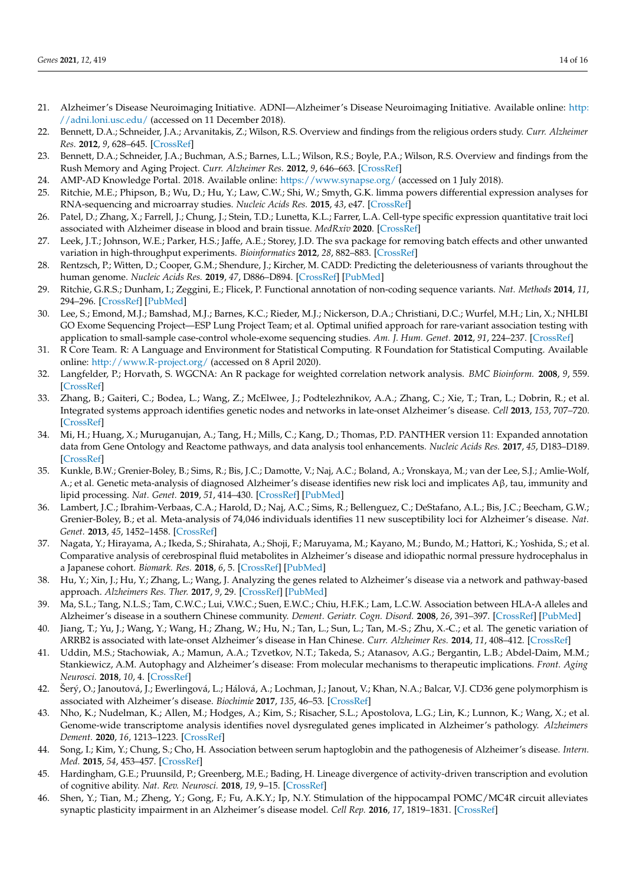- <span id="page-13-0"></span>21. Alzheimer's Disease Neuroimaging Initiative. ADNI—Alzheimer's Disease Neuroimaging Initiative. Available online: [http:](http://adni.loni.usc.edu/) [//adni.loni.usc.edu/](http://adni.loni.usc.edu/) (accessed on 11 December 2018).
- <span id="page-13-1"></span>22. Bennett, D.A.; Schneider, J.A.; Arvanitakis, Z.; Wilson, R.S. Overview and findings from the religious orders study. *Curr. Alzheimer Res.* **2012**, *9*, 628–645. [\[CrossRef\]](http://doi.org/10.2174/156720512801322573)
- <span id="page-13-2"></span>23. Bennett, D.A.; Schneider, J.A.; Buchman, A.S.; Barnes, L.L.; Wilson, R.S.; Boyle, P.A.; Wilson, R.S. Overview and findings from the Rush Memory and Aging Project. *Curr. Alzheimer Res.* **2012**, *9*, 646–663. [\[CrossRef\]](http://doi.org/10.2174/156720512801322663)
- <span id="page-13-3"></span>24. AMP-AD Knowledge Portal. 2018. Available online: <https://www.synapse.org/> (accessed on 1 July 2018).
- <span id="page-13-4"></span>25. Ritchie, M.E.; Phipson, B.; Wu, D.; Hu, Y.; Law, C.W.; Shi, W.; Smyth, G.K. limma powers differential expression analyses for RNA-sequencing and microarray studies. *Nucleic Acids Res.* **2015**, *43*, e47. [\[CrossRef\]](http://doi.org/10.1093/nar/gkv007)
- <span id="page-13-5"></span>26. Patel, D.; Zhang, X.; Farrell, J.; Chung, J.; Stein, T.D.; Lunetta, K.L.; Farrer, L.A. Cell-type specific expression quantitative trait loci associated with Alzheimer disease in blood and brain tissue. *MedRxiv* **2020**. [\[CrossRef\]](http://doi.org/10.1101/2020.11.23.20237008)
- <span id="page-13-6"></span>27. Leek, J.T.; Johnson, W.E.; Parker, H.S.; Jaffe, A.E.; Storey, J.D. The sva package for removing batch effects and other unwanted variation in high-throughput experiments. *Bioinformatics* **2012**, *28*, 882–883. [\[CrossRef\]](http://doi.org/10.1093/bioinformatics/bts034)
- <span id="page-13-7"></span>28. Rentzsch, P.; Witten, D.; Cooper, G.M.; Shendure, J.; Kircher, M. CADD: Predicting the deleteriousness of variants throughout the human genome. *Nucleic Acids Res.* **2019**, *47*, D886–D894. [\[CrossRef\]](http://doi.org/10.1093/nar/gky1016) [\[PubMed\]](http://www.ncbi.nlm.nih.gov/pubmed/30371827)
- <span id="page-13-8"></span>29. Ritchie, G.R.S.; Dunham, I.; Zeggini, E.; Flicek, P. Functional annotation of non-coding sequence variants. *Nat. Methods* **2014**, *11*, 294–296. [\[CrossRef\]](http://doi.org/10.1038/nmeth.2832) [\[PubMed\]](http://www.ncbi.nlm.nih.gov/pubmed/24487584)
- <span id="page-13-9"></span>30. Lee, S.; Emond, M.J.; Bamshad, M.J.; Barnes, K.C.; Rieder, M.J.; Nickerson, D.A.; Christiani, D.C.; Wurfel, M.H.; Lin, X.; NHLBI GO Exome Sequencing Project—ESP Lung Project Team; et al. Optimal unified approach for rare-variant association testing with application to small-sample case-control whole-exome sequencing studies. *Am. J. Hum. Genet.* **2012**, *91*, 224–237. [\[CrossRef\]](http://doi.org/10.1016/j.ajhg.2012.06.007)
- <span id="page-13-10"></span>31. R Core Team. R: A Language and Environment for Statistical Computing. R Foundation for Statistical Computing. Available online: <http://www.R-project.org/> (accessed on 8 April 2020).
- <span id="page-13-11"></span>32. Langfelder, P.; Horvath, S. WGCNA: An R package for weighted correlation network analysis. *BMC Bioinform.* **2008**, *9*, 559. [\[CrossRef\]](http://doi.org/10.1186/1471-2105-9-559)
- <span id="page-13-12"></span>33. Zhang, B.; Gaiteri, C.; Bodea, L.; Wang, Z.; McElwee, J.; Podtelezhnikov, A.A.; Zhang, C.; Xie, T.; Tran, L.; Dobrin, R.; et al. Integrated systems approach identifies genetic nodes and networks in late-onset Alzheimer's disease. *Cell* **2013**, *153*, 707–720. [\[CrossRef\]](http://doi.org/10.1016/j.cell.2013.03.030)
- <span id="page-13-13"></span>34. Mi, H.; Huang, X.; Muruganujan, A.; Tang, H.; Mills, C.; Kang, D.; Thomas, P.D. PANTHER version 11: Expanded annotation data from Gene Ontology and Reactome pathways, and data analysis tool enhancements. *Nucleic Acids Res.* **2017**, *45*, D183–D189. [\[CrossRef\]](http://doi.org/10.1093/nar/gkw1138)
- <span id="page-13-14"></span>35. Kunkle, B.W.; Grenier-Boley, B.; Sims, R.; Bis, J.C.; Damotte, V.; Naj, A.C.; Boland, A.; Vronskaya, M.; van der Lee, S.J.; Amlie-Wolf, A.; et al. Genetic meta-analysis of diagnosed Alzheimer's disease identifies new risk loci and implicates Aβ, tau, immunity and lipid processing. *Nat. Genet.* **2019**, *51*, 414–430. [\[CrossRef\]](http://doi.org/10.1038/s41588-019-0358-2) [\[PubMed\]](http://www.ncbi.nlm.nih.gov/pubmed/30820047)
- <span id="page-13-15"></span>36. Lambert, J.C.; Ibrahim-Verbaas, C.A.; Harold, D.; Naj, A.C.; Sims, R.; Bellenguez, C.; DeStafano, A.L.; Bis, J.C.; Beecham, G.W.; Grenier-Boley, B.; et al. Meta-analysis of 74,046 individuals identifies 11 new susceptibility loci for Alzheimer's disease. *Nat. Genet.* **2013**, *45*, 1452–1458. [\[CrossRef\]](http://doi.org/10.1038/ng.2802)
- <span id="page-13-16"></span>37. Nagata, Y.; Hirayama, A.; Ikeda, S.; Shirahata, A.; Shoji, F.; Maruyama, M.; Kayano, M.; Bundo, M.; Hattori, K.; Yoshida, S.; et al. Comparative analysis of cerebrospinal fluid metabolites in Alzheimer's disease and idiopathic normal pressure hydrocephalus in a Japanese cohort. *Biomark. Res.* **2018**, *6*, 5. [\[CrossRef\]](http://doi.org/10.1186/s40364-018-0119-x) [\[PubMed\]](http://www.ncbi.nlm.nih.gov/pubmed/29387418)
- <span id="page-13-17"></span>38. Hu, Y.; Xin, J.; Hu, Y.; Zhang, L.; Wang, J. Analyzing the genes related to Alzheimer's disease via a network and pathway-based approach. *Alzheimers Res. Ther.* **2017**, *9*, 29. [\[CrossRef\]](http://doi.org/10.1186/s13195-017-0252-z) [\[PubMed\]](http://www.ncbi.nlm.nih.gov/pubmed/28446202)
- <span id="page-13-18"></span>39. Ma, S.L.; Tang, N.L.S.; Tam, C.W.C.; Lui, V.W.C.; Suen, E.W.C.; Chiu, H.F.K.; Lam, L.C.W. Association between HLA-A alleles and Alzheimer's disease in a southern Chinese community. *Dement. Geriatr. Cogn. Disord.* **2008**, *26*, 391–397. [\[CrossRef\]](http://doi.org/10.1159/000164275) [\[PubMed\]](http://www.ncbi.nlm.nih.gov/pubmed/18936542)
- <span id="page-13-19"></span>40. Jiang, T.; Yu, J.; Wang, Y.; Wang, H.; Zhang, W.; Hu, N.; Tan, L.; Sun, L.; Tan, M.-S.; Zhu, X.-C.; et al. The genetic variation of ARRB2 is associated with late-onset Alzheimer's disease in Han Chinese. *Curr. Alzheimer Res.* **2014**, *11*, 408–412. [\[CrossRef\]](http://doi.org/10.2174/1567205011666140317095014)
- <span id="page-13-20"></span>41. Uddin, M.S.; Stachowiak, A.; Mamun, A.A.; Tzvetkov, N.T.; Takeda, S.; Atanasov, A.G.; Bergantin, L.B.; Abdel-Daim, M.M.; Stankiewicz, A.M. Autophagy and Alzheimer's disease: From molecular mechanisms to therapeutic implications. *Front. Aging Neurosci.* **2018**, *10*, 4. [\[CrossRef\]](http://doi.org/10.3389/fnagi.2018.00004)
- <span id="page-13-21"></span>42. Šerý, O.; Janoutová, J.; Ewerlingová, L.; Hálová, A.; Lochman, J.; Janout, V.; Khan, N.A.; Balcar, V.J. CD36 gene polymorphism is associated with Alzheimer's disease. *Biochimie* **2017**, *135*, 46–53. [\[CrossRef\]](http://doi.org/10.1016/j.biochi.2017.01.009)
- <span id="page-13-22"></span>43. Nho, K.; Nudelman, K.; Allen, M.; Hodges, A.; Kim, S.; Risacher, S.L.; Apostolova, L.G.; Lin, K.; Lunnon, K.; Wang, X.; et al. Genome-wide transcriptome analysis identifies novel dysregulated genes implicated in Alzheimer's pathology. *Alzheimers Dement.* **2020**, *16*, 1213–1223. [\[CrossRef\]](http://doi.org/10.1002/alz.12092)
- <span id="page-13-23"></span>44. Song, I.; Kim, Y.; Chung, S.; Cho, H. Association between serum haptoglobin and the pathogenesis of Alzheimer's disease. *Intern. Med.* **2015**, *54*, 453–457. [\[CrossRef\]](http://doi.org/10.2169/internalmedicine.54.2876)
- <span id="page-13-24"></span>45. Hardingham, G.E.; Pruunsild, P.; Greenberg, M.E.; Bading, H. Lineage divergence of activity-driven transcription and evolution of cognitive ability. *Nat. Rev. Neurosci.* **2018**, *19*, 9–15. [\[CrossRef\]](http://doi.org/10.1038/nrn.2017.138)
- <span id="page-13-25"></span>46. Shen, Y.; Tian, M.; Zheng, Y.; Gong, F.; Fu, A.K.Y.; Ip, N.Y. Stimulation of the hippocampal POMC/MC4R circuit alleviates synaptic plasticity impairment in an Alzheimer's disease model. *Cell Rep.* **2016**, *17*, 1819–1831. [\[CrossRef\]](http://doi.org/10.1016/j.celrep.2016.10.043)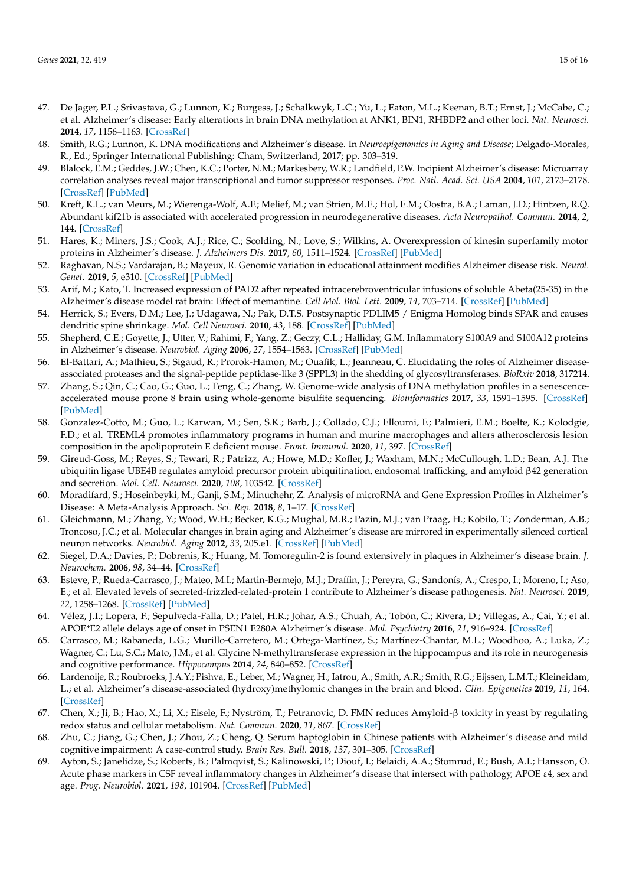- <span id="page-14-0"></span>47. De Jager, P.L.; Srivastava, G.; Lunnon, K.; Burgess, J.; Schalkwyk, L.C.; Yu, L.; Eaton, M.L.; Keenan, B.T.; Ernst, J.; McCabe, C.; et al. Alzheimer's disease: Early alterations in brain DNA methylation at ANK1, BIN1, RHBDF2 and other loci. *Nat. Neurosci.* **2014**, *17*, 1156–1163. [\[CrossRef\]](http://doi.org/10.1038/nn.3786)
- <span id="page-14-1"></span>48. Smith, R.G.; Lunnon, K. DNA modifications and Alzheimer's disease. In *Neuroepigenomics in Aging and Disease*; Delgado-Morales, R., Ed.; Springer International Publishing: Cham, Switzerland, 2017; pp. 303–319.
- <span id="page-14-2"></span>49. Blalock, E.M.; Geddes, J.W.; Chen, K.C.; Porter, N.M.; Markesbery, W.R.; Landfield, P.W. Incipient Alzheimer's disease: Microarray correlation analyses reveal major transcriptional and tumor suppressor responses. *Proc. Natl. Acad. Sci. USA* **2004**, *101*, 2173–2178. [\[CrossRef\]](http://doi.org/10.1073/pnas.0308512100) [\[PubMed\]](http://www.ncbi.nlm.nih.gov/pubmed/14769913)
- <span id="page-14-3"></span>50. Kreft, K.L.; van Meurs, M.; Wierenga-Wolf, A.F.; Melief, M.; van Strien, M.E.; Hol, E.M.; Oostra, B.A.; Laman, J.D.; Hintzen, R.Q. Abundant kif21b is associated with accelerated progression in neurodegenerative diseases. *Acta Neuropathol. Commun.* **2014**, *2*, 144. [\[CrossRef\]](http://doi.org/10.1186/s40478-014-0144-4)
- <span id="page-14-4"></span>51. Hares, K.; Miners, J.S.; Cook, A.J.; Rice, C.; Scolding, N.; Love, S.; Wilkins, A. Overexpression of kinesin superfamily motor proteins in Alzheimer's disease. *J. Alzheimers Dis.* **2017**, *60*, 1511–1524. [\[CrossRef\]](http://doi.org/10.3233/JAD-170094) [\[PubMed\]](http://www.ncbi.nlm.nih.gov/pubmed/29060936)
- <span id="page-14-5"></span>52. Raghavan, N.S.; Vardarajan, B.; Mayeux, R. Genomic variation in educational attainment modifies Alzheimer disease risk. *Neurol. Genet.* **2019**, *5*, e310. [\[CrossRef\]](http://doi.org/10.1212/NXG.0000000000000310) [\[PubMed\]](http://www.ncbi.nlm.nih.gov/pubmed/30863791)
- <span id="page-14-6"></span>53. Arif, M.; Kato, T. Increased expression of PAD2 after repeated intracerebroventricular infusions of soluble Abeta(25-35) in the Alzheimer's disease model rat brain: Effect of memantine. *Cell Mol. Biol. Lett.* **2009**, *14*, 703–714. [\[CrossRef\]](http://doi.org/10.2478/s11658-009-0029-x) [\[PubMed\]](http://www.ncbi.nlm.nih.gov/pubmed/19641855)
- <span id="page-14-7"></span>54. Herrick, S.; Evers, D.M.; Lee, J.; Udagawa, N.; Pak, D.T.S. Postsynaptic PDLIM5 / Enigma Homolog binds SPAR and causes dendritic spine shrinkage. *Mol. Cell Neurosci.* **2010**, *43*, 188. [\[CrossRef\]](http://doi.org/10.1016/j.mcn.2009.10.009) [\[PubMed\]](http://www.ncbi.nlm.nih.gov/pubmed/19900557)
- <span id="page-14-8"></span>55. Shepherd, C.E.; Goyette, J.; Utter, V.; Rahimi, F.; Yang, Z.; Geczy, C.L.; Halliday, G.M. Inflammatory S100A9 and S100A12 proteins in Alzheimer's disease. *Neurobiol. Aging* **2006**, *27*, 1554–1563. [\[CrossRef\]](http://doi.org/10.1016/j.neurobiolaging.2005.09.033) [\[PubMed\]](http://www.ncbi.nlm.nih.gov/pubmed/16253391)
- <span id="page-14-9"></span>56. El-Battari, A.; Mathieu, S.; Sigaud, R.; Prorok-Hamon, M.; Ouafik, L.; Jeanneau, C. Elucidating the roles of Alzheimer diseaseassociated proteases and the signal-peptide peptidase-like 3 (SPPL3) in the shedding of glycosyltransferases. *BioRxiv* **2018**, 317214.
- <span id="page-14-10"></span>57. Zhang, S.; Qin, C.; Cao, G.; Guo, L.; Feng, C.; Zhang, W. Genome-wide analysis of DNA methylation profiles in a senescenceaccelerated mouse prone 8 brain using whole-genome bisulfite sequencing. *Bioinformatics* **2017**, *33*, 1591–1595. [\[CrossRef\]](http://doi.org/10.1093/bioinformatics/btx040) [\[PubMed\]](http://www.ncbi.nlm.nih.gov/pubmed/28130229)
- <span id="page-14-11"></span>58. Gonzalez-Cotto, M.; Guo, L.; Karwan, M.; Sen, S.K.; Barb, J.; Collado, C.J.; Elloumi, F.; Palmieri, E.M.; Boelte, K.; Kolodgie, F.D.; et al. TREML4 promotes inflammatory programs in human and murine macrophages and alters atherosclerosis lesion composition in the apolipoprotein E deficient mouse. *Front. Immunol.* **2020**, *11*, 397. [\[CrossRef\]](http://doi.org/10.3389/fimmu.2020.00397)
- <span id="page-14-12"></span>59. Gireud-Goss, M.; Reyes, S.; Tewari, R.; Patrizz, A.; Howe, M.D.; Kofler, J.; Waxham, M.N.; McCullough, L.D.; Bean, A.J. The ubiquitin ligase UBE4B regulates amyloid precursor protein ubiquitination, endosomal trafficking, and amyloid β42 generation and secretion. *Mol. Cell. Neurosci.* **2020**, *108*, 103542. [\[CrossRef\]](http://doi.org/10.1016/j.mcn.2020.103542)
- <span id="page-14-13"></span>60. Moradifard, S.; Hoseinbeyki, M.; Ganji, S.M.; Minuchehr, Z. Analysis of microRNA and Gene Expression Profiles in Alzheimer's Disease: A Meta-Analysis Approach. *Sci. Rep.* **2018**, *8*, 1–17. [\[CrossRef\]](http://doi.org/10.1038/s41598-018-20959-0)
- <span id="page-14-14"></span>61. Gleichmann, M.; Zhang, Y.; Wood, W.H.; Becker, K.G.; Mughal, M.R.; Pazin, M.J.; van Praag, H.; Kobilo, T.; Zonderman, A.B.; Troncoso, J.C.; et al. Molecular changes in brain aging and Alzheimer's disease are mirrored in experimentally silenced cortical neuron networks. *Neurobiol. Aging* **2012**, *33*, 205.e1. [\[CrossRef\]](http://doi.org/10.1016/j.neurobiolaging.2010.08.012) [\[PubMed\]](http://www.ncbi.nlm.nih.gov/pubmed/20947216)
- <span id="page-14-15"></span>62. Siegel, D.A.; Davies, P.; Dobrenis, K.; Huang, M. Tomoregulin-2 is found extensively in plaques in Alzheimer's disease brain. *J. Neurochem.* **2006**, *98*, 34–44. [\[CrossRef\]](http://doi.org/10.1111/j.1471-4159.2006.03801.x)
- <span id="page-14-16"></span>63. Esteve, P.; Rueda-Carrasco, J.; Mateo, M.I.; Martin-Bermejo, M.J.; Draffin, J.; Pereyra, G.; Sandonís, A.; Crespo, I.; Moreno, I.; Aso, E.; et al. Elevated levels of secreted-frizzled-related-protein 1 contribute to Alzheimer's disease pathogenesis. *Nat. Neurosci.* **2019**, *22*, 1258–1268. [\[CrossRef\]](http://doi.org/10.1038/s41593-019-0432-1) [\[PubMed\]](http://www.ncbi.nlm.nih.gov/pubmed/31308530)
- <span id="page-14-17"></span>64. Vélez, J.I.; Lopera, F.; Sepulveda-Falla, D.; Patel, H.R.; Johar, A.S.; Chuah, A.; Tobón, C.; Rivera, D.; Villegas, A.; Cai, Y.; et al. APOE\*E2 allele delays age of onset in PSEN1 E280A Alzheimer's disease. *Mol. Psychiatry* **2016**, *21*, 916–924. [\[CrossRef\]](http://doi.org/10.1038/mp.2015.177)
- <span id="page-14-18"></span>65. Carrasco, M.; Rabaneda, L.G.; Murillo-Carretero, M.; Ortega-Martínez, S.; Martínez-Chantar, M.L.; Woodhoo, A.; Luka, Z.; Wagner, C.; Lu, S.C.; Mato, J.M.; et al. Glycine N-methyltransferase expression in the hippocampus and its role in neurogenesis and cognitive performance. *Hippocampus* **2014**, *24*, 840–852. [\[CrossRef\]](http://doi.org/10.1002/hipo.22274)
- <span id="page-14-19"></span>66. Lardenoije, R.; Roubroeks, J.A.Y.; Pishva, E.; Leber, M.; Wagner, H.; Iatrou, A.; Smith, A.R.; Smith, R.G.; Eijssen, L.M.T.; Kleineidam, L.; et al. Alzheimer's disease-associated (hydroxy)methylomic changes in the brain and blood. *Clin. Epigenetics* **2019**, *11*, 164. [\[CrossRef\]](http://doi.org/10.1186/s13148-019-0755-5)
- <span id="page-14-20"></span>67. Chen, X.; Ji, B.; Hao, X.; Li, X.; Eisele, F.; Nyström, T.; Petranovic, D. FMN reduces Amyloid-β toxicity in yeast by regulating redox status and cellular metabolism. *Nat. Commun.* **2020**, *11*, 867. [\[CrossRef\]](http://doi.org/10.1038/s41467-020-14525-4)
- <span id="page-14-21"></span>68. Zhu, C.; Jiang, G.; Chen, J.; Zhou, Z.; Cheng, Q. Serum haptoglobin in Chinese patients with Alzheimer's disease and mild cognitive impairment: A case-control study. *Brain Res. Bull.* **2018**, *137*, 301–305. [\[CrossRef\]](http://doi.org/10.1016/j.brainresbull.2018.01.005)
- <span id="page-14-22"></span>69. Ayton, S.; Janelidze, S.; Roberts, B.; Palmqvist, S.; Kalinowski, P.; Diouf, I.; Belaidi, A.A.; Stomrud, E.; Bush, A.I.; Hansson, O. Acute phase markers in CSF reveal inflammatory changes in Alzheimer's disease that intersect with pathology, APOE ε4, sex and age. *Prog. Neurobiol.* **2021**, *198*, 101904. [\[CrossRef\]](http://doi.org/10.1016/j.pneurobio.2020.101904) [\[PubMed\]](http://www.ncbi.nlm.nih.gov/pubmed/32882319)